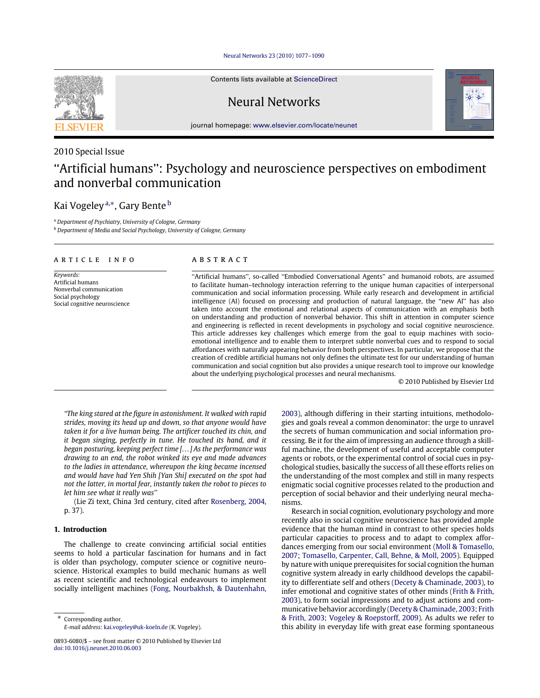Neural Networks 23 (2010) 1077–1090

2010 Special Issue

Contents lists available at ScienceDirect

Neural Networks



journal homepage: www.elsevier.com/locate/neunet

# ''Artificial humans'': Psychology and neuroscience perspectives on embodiment and nonverbal communication

# Kai Vogeley<sup>a,\*</sup>, Gary Bente b

<sup>a</sup> *Department of Psychiatry, University of Cologne, Germany*

<sup>b</sup> *Department of Media and Social Psychology, University of Cologne, Germany*

# article info

*Keywords:* Artificial humans Nonverbal communication Social psychology Social cognitive neuroscience

# **ABSTRACT**

''Artificial humans'', so-called ''Embodied Conversational Agents'' and humanoid robots, are assumed to facilitate human–technology interaction referring to the unique human capacities of interpersonal communication and social information processing. While early research and development in artificial intelligence (AI) focused on processing and production of natural language, the ''new AI'' has also taken into account the emotional and relational aspects of communication with an emphasis both on understanding and production of nonverbal behavior. This shift in attention in computer science and engineering is reflected in recent developments in psychology and social cognitive neuroscience. This article addresses key challenges which emerge from the goal to equip machines with socioemotional intelligence and to enable them to interpret subtle nonverbal cues and to respond to social affordances with naturally appearing behavior from both perspectives. In particular, we propose that the creation of credible artificial humans not only defines the ultimate test for our understanding of human communication and social cognition but also provides a unique research tool to improve our knowledge about the underlying psychological processes and neural mechanisms.

© 2010 Published by Elsevier Ltd

*''The king stared at the figure in astonishment. It walked with rapid strides, moving its head up and down, so that anyone would have taken it for a live human being. The artificer touched its chin, and it began singing, perfectly in tune. He touched its hand, and it began posturing, keeping perfect time [. . . ] As the performance was drawing to an end, the robot winked its eye and made advances to the ladies in attendance, whereupon the king became incensed and would have had Yen Shih [Yan Shi] executed on the spot had not the latter, in mortal fear, instantly taken the robot to pieces to let him see what it really was''*

(Lie Zi text, China 3rd century, cited after Rosenberg, 2004, p. 37).

#### **1. Introduction**

The challenge to create convincing artificial social entities seems to hold a particular fascination for humans and in fact is older than psychology, computer science or cognitive neuroscience. Historical examples to build mechanic humans as well as recent scientific and technological endeavours to implement socially intelligent machines (Fong, Nourbakhsh, & Dautenhahn,

⇤ Corresponding author. *E-mail address:* kai.vogeley@uk-koeln.de (K. Vogeley). 2003), although differing in their starting intuitions, methodologies and goals reveal a common denominator: the urge to unravel the secrets of human communication and social information processing. Be it for the aim of impressing an audience through a skillful machine, the development of useful and acceptable computer agents or robots, or the experimental control of social cues in psychological studies, basically the success of all these efforts relies on the understanding of the most complex and still in many respects enigmatic social cognitive processes related to the production and perception of social behavior and their underlying neural mechanisms.

Research in social cognition, evolutionary psychology and more recently also in social cognitive neuroscience has provided ample evidence that the human mind in contrast to other species holds particular capacities to process and to adapt to complex affordances emerging from our social environment (Moll & Tomasello, 2007; Tomasello, Carpenter, Call, Behne, & Moll, 2005). Equipped by nature with unique prerequisites for social cognition the human cognitive system already in early childhood develops the capability to differentiate self and others (Decety & Chaminade, 2003), to infer emotional and cognitive states of other minds (Frith & Frith, 2003), to form social impressions and to adjust actions and communicative behavior accordingly (Decety&Chaminade, 2003; Frith & Frith, 2003; Vogeley & Roepstorff, 2009). As adults we refer to this ability in everyday life with great ease forming spontaneous

<sup>0893-6080/\$ –</sup> see front matter © 2010 Published by Elsevier Ltd doi:10.1016/j.neunet.2010.06.003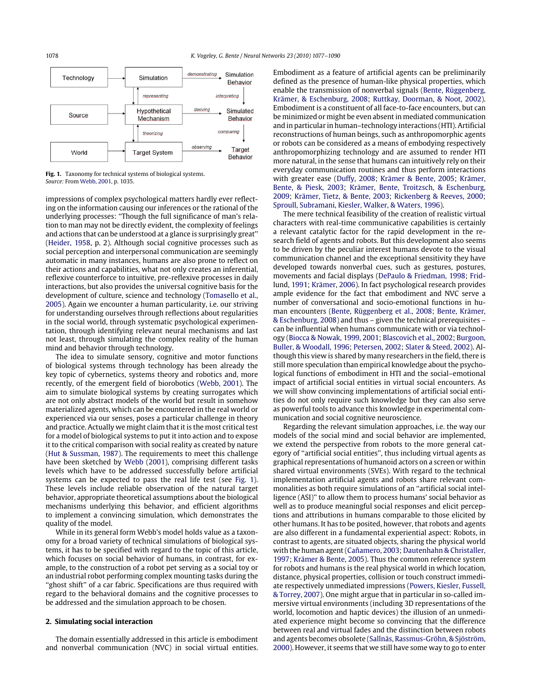

**Fig. 1.** Taxonomy for technical systems of biological systems. *Source:* From Webb, 2001, p. 1035.

impressions of complex psychological matters hardly ever reflecting on the information causing our inferences or the rational of the underlying processes: ''Though the full significance of man's relation to man may not be directly evident, the complexity of feelings and actions that can be understood at a glance is surprisingly great'' (Heider, 1958, p. 2). Although social cognitive processes such as social perception and interpersonal communication are seemingly automatic in many instances, humans are also prone to reflect on their actions and capabilities, what not only creates an inferential, reflexive counterforce to intuitive, pre-reflexive processes in daily interactions, but also provides the universal cognitive basis for the development of culture, science and technology (Tomasello et al., 2005). Again we encounter a human particularity, i.e. our striving for understanding ourselves through reflections about regularities in the social world, through systematic psychological experimentation, through identifying relevant neural mechanisms and last not least, through simulating the complex reality of the human mind and behavior through technology.

The idea to simulate sensory, cognitive and motor functions of biological systems through technology has been already the key topic of cybernetics, systems theory and robotics and, more recently, of the emergent field of biorobotics (Webb, 2001). The aim to simulate biological systems by creating surrogates which are not only abstract models of the world but result in somehow materialized agents, which can be encountered in the real world or experienced via our senses, poses a particular challenge in theory and practice. Actually we might claim that it is the most critical test for a model of biological systems to put it into action and to expose it to the critical comparison with social reality as created by nature (Hut & Sussman, 1987). The requirements to meet this challenge have been sketched by Webb (2001), comprising different tasks levels which have to be addressed successfully before artificial systems can be expected to pass the real life test (see Fig. 1). These levels include reliable observation of the natural target behavior, appropriate theoretical assumptions about the biological mechanisms underlying this behavior, and efficient algorithms to implement a convincing simulation, which demonstrates the quality of the model.

While in its general form Webb's model holds value as a taxonomy for a broad variety of technical simulations of biological systems, it has to be specified with regard to the topic of this article, which focuses on social behavior of humans, in contrast, for example, to the construction of a robot pet serving as a social toy or an industrial robot performing complex mounting tasks during the ''ghost shift'' of a car fabric. Specifications are thus required with regard to the behavioral domains and the cognitive processes to be addressed and the simulation approach to be chosen.

## **2. Simulating social interaction**

The domain essentially addressed in this article is embodiment and nonverbal communication (NVC) in social virtual entities.

Embodiment as a feature of artificial agents can be preliminarily defined as the presence of human-like physical properties, which enable the transmission of nonverbal signals (Bente, Rüggenberg, Krämer, & Eschenburg, 2008; Ruttkay, Doorman, & Noot, 2002). Embodiment is a constituent of all face-to-face encounters, but can be minimized or might be even absent in mediated communication and in particular in human–technology interactions (HTI). Artificial reconstructions of human beings, such as anthropomorphic agents or robots can be considered as a means of embodying respectively anthropomorphizing technology and are assumed to render HTI more natural, in the sense that humans can intuitively rely on their everyday communication routines and thus perform interactions with greater ease (Duffy, 2008; Krämer & Bente, 2005; Krämer, Bente, & Piesk, 2003; Krämer, Bente, Troitzsch, & Eschenburg, 2009; Krämer, Tietz, & Bente, 2003; Rickenberg & Reeves, 2000; Sproull, Subramani, Kiesler, Walker, & Waters, 1996).

The mere technical feasibility of the creation of realistic virtual characters with real-time communicative capabilities is certainly a relevant catalytic factor for the rapid development in the research field of agents and robots. But this development also seems to be driven by the peculiar interest humans devote to the visual communication channel and the exceptional sensitivity they have developed towards nonverbal cues, such as gestures, postures, movements and facial displays (DePaulo & Friedman, 1998; Fridlund, 1991; Krämer, 2006). In fact psychological research provides ample evidence for the fact that embodiment and NVC serve a number of conversational and socio-emotional functions in human encounters (Bente, Rüggenberg et al., 2008; Bente, Krämer, & Eschenburg, 2008) and thus – given the technical prerequisites – can be influential when humans communicate with or via technology (Biocca & Nowak, 1999, 2001; Blascovich et al., 2002; Burgoon, Buller, & Woodall, 1996; Petersen, 2002; Slater & Steed, 2002). Although this view is shared by many researchers in the field, there is still more speculation than empirical knowledge about the psychological functions of embodiment in HTI and the social–emotional impact of artificial social entities in virtual social encounters. As we will show convincing implementations of artificial social entities do not only require such knowledge but they can also serve as powerful tools to advance this knowledge in experimental communication and social cognitive neuroscience.

Regarding the relevant simulation approaches, i.e. the way our models of the social mind and social behavior are implemented, we extend the perspective from robots to the more general category of ''artificial social entities'', thus including virtual agents as graphical representations of humanoid actors on a screen or within shared virtual environments (SVEs). With regard to the technical implementation artificial agents and robots share relevant commonalities as both require simulations of an ''artificial social intelligence (ASI)'' to allow them to process humans' social behavior as well as to produce meaningful social responses and elicit perceptions and attributions in humans comparable to those elicited by other humans. It has to be posited, however, that robots and agents are also different in a fundamental experiential aspect: Robots, in contrast to agents, are situated objects, sharing the physical world with the human agent (Cañamero, 2003; Dautenhahn & Christaller, 1997; Krämer & Bente, 2005). Thus the common reference system for robots and humans is the real physical world in which location, distance, physical properties, collision or touch construct immediate respectively unmediated impressions (Powers, Kiesler, Fussell, & Torrey, 2007). One might argue that in particular in so-called immersive virtual environments (including 3D representations of the world, locomotion and haptic devices) the illusion of an unmediated experience might become so convincing that the difference between real and virtual fades and the distinction between robots and agents becomes obsolete (Sallnäs, Rassmus-Gröhn,&Sjöström, 2000). However, it seems that we still have some way to go to enter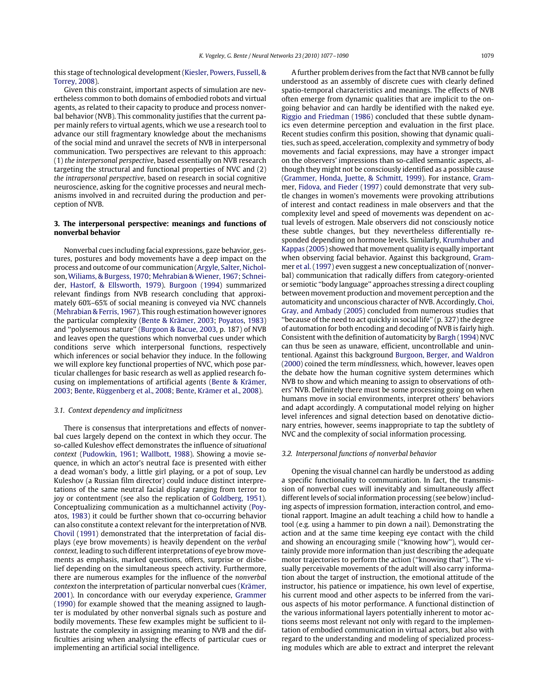this stage of technological development (Kiesler, Powers, Fussell, & Torrey, 2008).

Given this constraint, important aspects of simulation are nevertheless common to both domains of embodied robots and virtual agents, as related to their capacity to produce and process nonverbal behavior (NVB). This commonality justifies that the current paper mainly refers to virtual agents, which we use a research tool to advance our still fragmentary knowledge about the mechanisms of the social mind and unravel the secrets of NVB in interpersonal communication. Two perspectives are relevant to this approach: (1) *the interpersonal perspective*, based essentially on NVB research targeting the structural and functional properties of NVC and (2) *the intrapersonal perspective*, based on research in social cognitive neuroscience, asking for the cognitive processes and neural mechanisms involved in and recruited during the production and perception of NVB.

## **3. The interpersonal perspective: meanings and functions of nonverbal behavior**

Nonverbal cues including facial expressions, gaze behavior, gestures, postures and body movements have a deep impact on the process and outcome of our communication (Argyle, Salter, Nicholson, Wiliams, & Burgess, 1970; Mehrabian & Wiener, 1967; Schneider, Hastorf, & Ellsworth, 1979). Burgoon (1994) summarized relevant findings from NVB research concluding that approximately 60%–65% of social meaning is conveyed via NVC channels (Mehrabian & Ferris, 1967). This rough estimation however ignores the particular complexity (Bente & Krämer, 2003; Poyatos, 1983) and ''polysemous nature'' (Burgoon & Bacue, 2003, p. 187) of NVB and leaves open the questions which nonverbal cues under which conditions serve which interpersonal functions, respectively which inferences or social behavior they induce. In the following we will explore key functional properties of NVC, which pose particular challenges for basic research as well as applied research focusing on implementations of artificial agents (Bente & Krämer, 2003; Bente, Rüggenberg et al., 2008; Bente, Krämer et al., 2008).

#### *3.1. Context dependency and implicitness*

There is consensus that interpretations and effects of nonverbal cues largely depend on the context in which they occur. The so-called Kuleshov effect demonstrates the influence of *situational context* (Pudowkin, 1961; Wallbott, 1988). Showing a movie sequence, in which an actor's neutral face is presented with either a dead woman's body, a little girl playing, or a pot of soup, Lev Kuleshov (a Russian film director) could induce distinct interpretations of the same neutral facial display ranging from terror to joy or contentment (see also the replication of Goldberg, 1951). Conceptualizing communication as a multichannel activity (Poyatos, 1983) it could be further shown that co-occurring behavior can also constitute a context relevant for the interpretation of NVB. Chovil (1991) demonstrated that the interpretation of facial displays (eye brow movements) is heavily dependent on the *verbal context,* leading to such different interpretations of eye brow movements as emphasis, marked questions, offers, surprise or disbelief depending on the simultaneous speech activity. Furthermore, there are numerous examples for the influence of the *nonverbal context*on the interpretation of particular nonverbal cues (Krämer, 2001). In concordance with our everyday experience, Grammer (1990) for example showed that the meaning assigned to laughter is modulated by other nonverbal signals such as posture and bodily movements. These few examples might be sufficient to illustrate the complexity in assigning meaning to NVB and the difficulties arising when analysing the effects of particular cues or implementing an artificial social intelligence.

A further problem derives from the fact that NVB cannot be fully understood as an assembly of discrete cues with clearly defined spatio-temporal characteristics and meanings. The effects of NVB often emerge from dynamic qualities that are implicit to the ongoing behavior and can hardly be identified with the naked eye. Riggio and Friedman (1986) concluded that these subtle dynamics even determine perception and evaluation in the first place. Recent studies confirm this position, showing that dynamic qualities, such as speed, acceleration, complexity and symmetry of body movements and facial expressions, may have a stronger impact on the observers' impressions than so-called semantic aspects, although they might not be consciously identified as a possible cause (Grammer, Honda, Juette, & Schmitt, 1999). For instance, Grammer, Fidova, and Fieder (1997) could demonstrate that very subtle changes in women's movements were provoking attributions of interest and contact readiness in male observers and that the complexity level and speed of movements was dependent on actual levels of estrogen. Male observers did not consciously notice these subtle changes, but they nevertheless differentially responded depending on hormone levels. Similarly, Krumhuber and Kappas (2005) showed that movement quality is equally important when observing facial behavior. Against this background, Grammer et al. (1997) even suggest a new conceptualization of (nonverbal) communication that radically differs from category-oriented or semiotic ''body language'' approaches stressing a direct coupling between movement production and movement perception and the automaticity and unconscious character of NVB. Accordingly, Choi, Gray, and Ambady (2005) concluded from numerous studies that ''because of the need to act quickly in social life'' (p. 327) the degree of automation for both encoding and decoding of NVB is fairly high. Consistent with the definition of automaticity by Bargh (1994) NVC can thus be seen as unaware, efficient, uncontrollable and unintentional. Against this background Burgoon, Berger, and Waldron (2000) coined the term *mindlessness,* which, however, leaves open the debate how the human cognitive system determines which NVB to show and which meaning to assign to observations of others' NVB. Definitely there must be some processing going on when humans move in social environments, interpret others' behaviors and adapt accordingly. A computational model relying on higher level inferences and signal detection based on denotative dictionary entries, however, seems inappropriate to tap the subtlety of NVC and the complexity of social information processing.

#### *3.2. Interpersonal functions of nonverbal behavior*

Opening the visual channel can hardly be understood as adding a specific functionality to communication. In fact, the transmission of nonverbal cues will inevitably and simultaneously affect different levels of social information processing (see below) including aspects of impression formation, interaction control, and emotional rapport. Imagine an adult teaching a child how to handle a tool (e.g. using a hammer to pin down a nail). Demonstrating the action and at the same time keeping eye contact with the child and showing an encouraging smile (''knowing how''), would certainly provide more information than just describing the adequate motor trajectories to perform the action (''knowing that''). The visually perceivable movements of the adult will also carry information about the target of instruction, the emotional attitude of the instructor, his patience or impatience, his own level of expertise, his current mood and other aspects to be inferred from the various aspects of his motor performance. A functional distinction of the various informational layers potentially inherent to motor actions seems most relevant not only with regard to the implementation of embodied communication in virtual actors, but also with regard to the understanding and modeling of specialized processing modules which are able to extract and interpret the relevant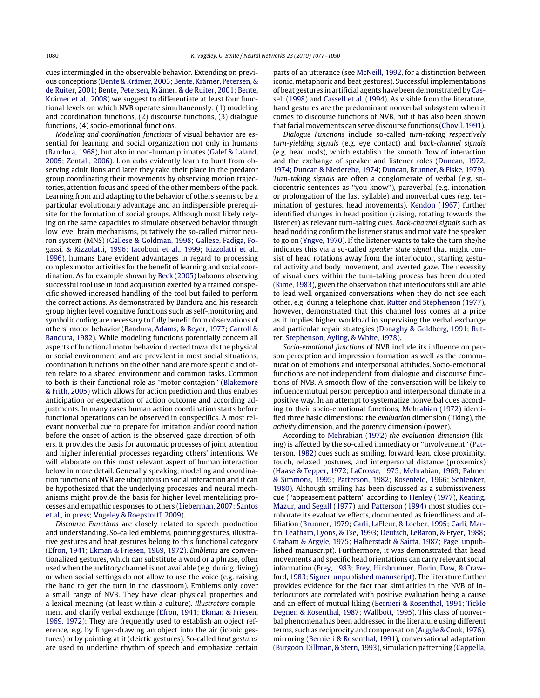cues intermingled in the observable behavior. Extending on previous conceptions (Bente & Krämer, 2003; Bente, Krämer, Petersen, & de Ruiter, 2001; Bente, Petersen, Krämer, & de Ruiter, 2001; Bente, Krämer et al., 2008) we suggest to differentiate at least four functional levels on which NVB operate simultaneously: (1) modeling and coordination functions, (2) discourse functions, (3) dialogue functions, (4) socio-emotional functions.

*Modeling and coordination functions* of visual behavior are essential for learning and social organization not only in humans (Bandura, 1968), but also in non-human primates (Galef & Laland, 2005; Zentall, 2006). Lion cubs evidently learn to hunt from observing adult lions and later they take their place in the predator group coordinating their movements by observing motion trajectories, attention focus and speed of the other members of the pack. Learning from and adapting to the behavior of others seems to be a particular evolutionary advantage and an indispensible prerequisite for the formation of social groups. Although most likely relying on the same capacities to simulate observed behavior through low level brain mechanisms, putatively the so-called mirror neuron system (MNS) (Gallese & Goldman, 1998; Gallese, Fadiga, Fogassi, & Rizzolatti, 1996; Iacoboni et al., 1999; Rizzolatti et al., 1996), humans bare evident advantages in regard to processing complex motor activities for the benefit of learning and social coordination. As for example shown by Beck (2005) baboons observing successful tool use in food acquisition exerted by a trained conspecific showed increased handling of the tool but failed to perform the correct actions. As demonstrated by Bandura and his research group higher level cognitive functions such as self-monitoring and symbolic coding are necessary to fully benefit from observations of others' motor behavior (Bandura, Adams, & Beyer, 1977; Carroll & Bandura, 1982). While modeling functions potentially concern all aspects of functional motor behavior directed towards the physical or social environment and are prevalent in most social situations, coordination functions on the other hand are more specific and often relate to a shared environment and common tasks. Common to both is their functional role as ''motor contagion'' (Blakemore & Frith, 2005) which allows for action prediction and thus enables anticipation or expectation of action outcome and according adjustments. In many cases human action coordination starts before functional operations can be observed in conspecifics. A most relevant nonverbal cue to prepare for imitation and/or coordination before the onset of action is the observed gaze direction of others. It provides the basis for automatic processes of joint attention and higher inferential processes regarding others' intentions. We will elaborate on this most relevant aspect of human interaction below in more detail. Generally speaking, modeling and coordination functions of NVB are ubiquitous in social interaction and it can be hypothesized that the underlying processes and neural mechanisms might provide the basis for higher level mentalizing processes and empathic responses to others (Lieberman, 2007; Santos et al., in press; Vogeley & Roepstorff, 2009).

*Discourse Functions* are closely related to speech production and understanding. So-called emblems, pointing gestures, illustrative gestures and beat gestures belong to this functional category (Efron, 1941; Ekman & Friesen, 1969, 1972). *Emblems* are conventionalized gestures, which can substitute a word or a phrase, often used when the auditory channel is not available (e.g. during diving) or when social settings do not allow to use the voice (e.g. raising the hand to get the turn in the classroom). Emblems only cover a small range of NVB. They have clear physical properties and a lexical meaning (at least within a culture). *Illustrators* complement and clarify verbal exchange (Efron, 1941; Ekman & Friesen, 1969, 1972): They are frequently used to establish an object reference, e.g. by finger-drawing an object into the air (iconic gestures) or by pointing at it (deictic gestures). So-called *beat gestures* are used to underline rhythm of speech and emphasize certain parts of an utterance (see McNeill, 1992, for a distinction between iconic, metaphoric and beat gestures). Successful implementations of beat gestures in artificial agents have been demonstrated by Cassell (1998) and Cassell et al. (1994). As visible from the literature, hand gestures are the predominant nonverbal subsystem when it comes to discourse functions of NVB, but it has also been shown that facial movements can serve discourse functions (Chovil, 1991).

*Dialogue Functions* include so-called *turn-taking respectively turn-yielding signals* (e.g. eye contact) and *back-channel signals* (e.g. head nods), which establish the smooth flow of interaction and the exchange of speaker and listener roles (Duncan, 1972, 1974; Duncan & Niederehe, 1974; Duncan, Brunner, & Fiske, 1979). *Turn-taking signals* are often a conglomerate of verbal (e.g. sociocentric sentences as ''you know''), paraverbal (e.g. intonation or prolongation of the last syllable) and nonverbal cues (e.g. termination of gestures, head movements). Kendon (1967) further identified changes in head position (raising, rotating towards the listener) as relevant turn-taking cues. *Back-channel signals* such as head nodding confirm the listener status and motivate the speaker to go on (Yngve, 1970). If the listener wants to take the turn she/he indicates this via a so-called *speaker state signal* that might consist of head rotations away from the interlocutor, starting gestural activity and body movement, and averted gaze. The necessity of visual cues within the turn-taking process has been doubted (Rime, 1983), given the observation that interlocutors still are able to lead well organized conversations when they do not see each other, e.g. during a telephone chat. Rutter and Stephenson (1977), however, demonstrated that this channel loss comes at a price as it implies higher workload in supervising the verbal exchange and particular repair strategies (Donaghy & Goldberg, 1991; Rutter, Stephenson, Ayling, & White, 1978).

*Socio-emotional functions* of NVB include its influence on person perception and impression formation as well as the communication of emotions and interpersonal attitudes. Socio-emotional functions are not independent from dialogue and discourse functions of NVB. A smooth flow of the conversation will be likely to influence mutual person perception and interpersonal climate in a positive way. In an attempt to systematize nonverbal cues according to their socio-emotional functions, Mehrabian (1972) identified three basic dimensions: the *evaluation* dimension (liking), the *activity* dimension, and the *potency* dimension (power).

According to Mehrabian (1972) *the evaluation dimension* (liking) is affected by the so-called immediacy or ''involvement'' (Patterson, 1982) cues such as smiling, forward lean, close proximity, touch, relaxed postures, and interpersonal distance (proxemics) (Haase & Tepper, 1972; LaCrosse, 1975; Mehrabian, 1969; Palmer & Simmons, 1995; Patterson, 1982; Rosenfeld, 1966; Schlenker, 1980). Although smiling has been discussed as a submissiveness cue (''appeasement pattern'' according to Henley (1977), Keating, Mazur, and Segall (1977) and Patterson (1994) most studies corroborate its evaluative effects, documented as friendliness and affiliation (Brunner, 1979; Carli, LaFleur, & Loeber, 1995; Carli, Martin, Leatham, Lyons, & Tse, 1993; Deutsch, LeBaron, & Fryer, 1988; Graham & Argyle, 1975; Halberstadt & Saitta, 1987; Page, unpublished manuscript). Furthermore, it was demonstrated that head movements and specific head orientations can carry relevant social information (Frey, 1983; Frey, Hirsbrunner, Florin, Daw, & Crawford, 1983; Signer, unpublished manuscript). The literature further provides evidence for the fact that similarities in the NVB of interlocutors are correlated with positive evaluation being a cause and an effect of mutual liking (Bernieri & Rosenthal, 1991; Tickle Degnen & Rosenthal, 1987; Wallbott, 1995). This class of nonverbal phenomena has been addressed in the literature using different terms, such as reciprocity and compensation (Argyle&Cook, 1976), mirroring (Bernieri & Rosenthal, 1991), conversational adaptation (Burgoon, Dillman, & Stern, 1993), simulation patterning (Cappella,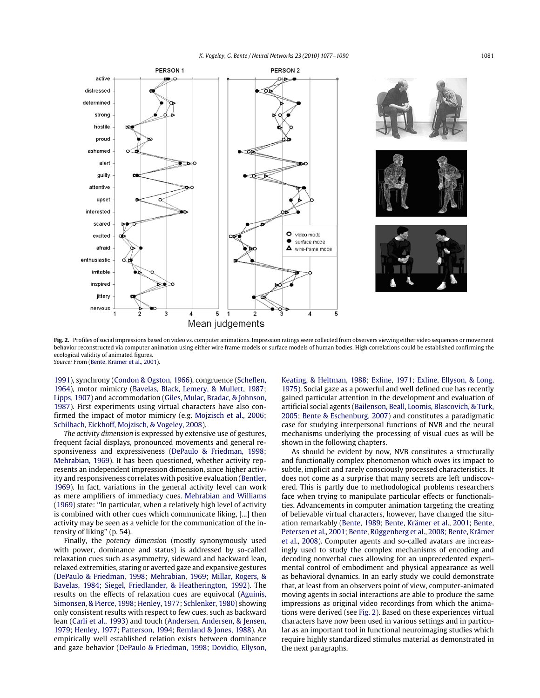*K. Vogeley, G. Bente / Neural Networks 23 (2010) 1077–1090* 1081



**Fig. 2.** Profiles of social impressions based on video vs. computer animations. Impression ratings were collected from observers viewing either video sequences or movement behavior reconstructed via computer animation using either wire frame models or surface models of human bodies. High correlations could be established confirming the ecological validity of animated figures. *Source:* From (Bente, Krämer et al., 2001).

1991), synchrony (Condon & Ogston, 1966), congruence (Scheflen, 1964), motor mimicry (Bavelas, Black, Lemery, & Mullett, 1987; Lipps, 1907) and accommodation (Giles, Mulac, Bradac, & Johnson, 1987). First experiments using virtual characters have also confirmed the impact of motor mimicry (e.g. Mojzisch et al., 2006; Schilbach, Eickhoff, Mojzisch, & Vogeley, 2008).

*The activity dimension* is expressed by extensive use of gestures, frequent facial displays, pronounced movements and general responsiveness and expressiveness (DePaulo & Friedman, 1998; Mehrabian, 1969). It has been questioned, whether activity represents an independent impression dimension, since higher activity and responsiveness correlates with positive evaluation (Bentler, 1969). In fact, variations in the general activity level can work as mere amplifiers of immediacy cues. Mehrabian and Williams (1969) state: ''In particular, when a relatively high level of activity is combined with other cues which communicate liking, [...] then activity may be seen as a vehicle for the communication of the intensity of liking'' (p. 54).

Finally, the *potency dimension* (mostly synonymously used with power, dominance and status) is addressed by so-called relaxation cues such as asymmetry, sideward and backward lean, relaxed extremities, staring or averted gaze and expansive gestures (DePaulo & Friedman, 1998; Mehrabian, 1969; Millar, Rogers, & Bavelas, 1984; Siegel, Friedlander, & Heatherington, 1992). The results on the effects of relaxation cues are equivocal (Aguinis, Simonsen, & Pierce, 1998; Henley, 1977; Schlenker, 1980) showing only consistent results with respect to few cues, such as backward lean (Carli et al., 1993) and touch (Andersen, Andersen, & Jensen, 1979; Henley, 1977; Patterson, 1994; Remland & Jones, 1988). An empirically well established relation exists between dominance and gaze behavior (DePaulo & Friedman, 1998; Dovidio, Ellyson,

Keating, & Heltman, 1988; Exline, 1971; Exline, Ellyson, & Long, 1975). Social gaze as a powerful and well defined cue has recently gained particular attention in the development and evaluation of artificial social agents (Bailenson, Beall, Loomis, Blascovich, & Turk, 2005; Bente & Eschenburg, 2007) and constitutes a paradigmatic case for studying interpersonal functions of NVB and the neural mechanisms underlying the processing of visual cues as will be shown in the following chapters.

As should be evident by now, NVB constitutes a structurally and functionally complex phenomenon which owes its impact to subtle, implicit and rarely consciously processed characteristics. It does not come as a surprise that many secrets are left undiscovered. This is partly due to methodological problems researchers face when trying to manipulate particular effects or functionalities. Advancements in computer animation targeting the creating of believable virtual characters, however, have changed the situation remarkably (Bente, 1989; Bente, Krämer et al., 2001; Bente, Petersen et al., 2001; Bente, Rüggenberg et al., 2008; Bente, Krämer et al., 2008). Computer agents and so-called avatars are increasingly used to study the complex mechanisms of encoding and decoding nonverbal cues allowing for an unprecedented experimental control of embodiment and physical appearance as well as behavioral dynamics. In an early study we could demonstrate that, at least from an observers point of view, computer-animated moving agents in social interactions are able to produce the same impressions as original video recordings from which the animations were derived (see Fig. 2). Based on these experiences virtual characters have now been used in various settings and in particular as an important tool in functional neuroimaging studies which require highly standardized stimulus material as demonstrated in the next paragraphs.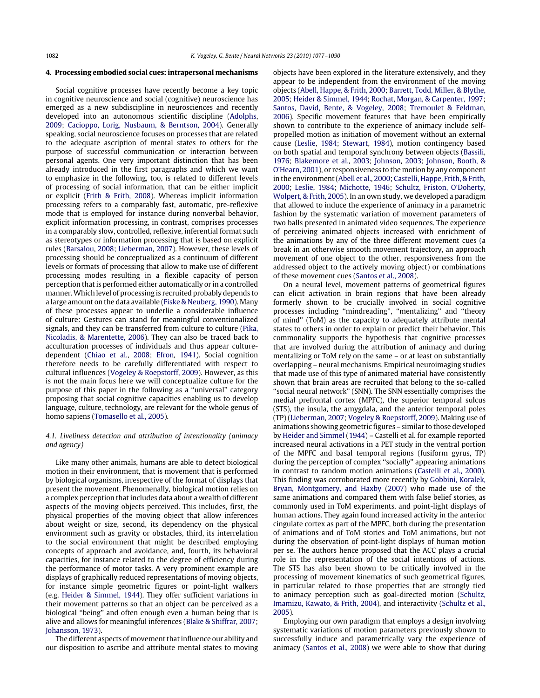#### **4. Processing embodied social cues: intrapersonal mechanisms**

Social cognitive processes have recently become a key topic in cognitive neuroscience and social (cognitive) neuroscience has emerged as a new subdiscipline in neurosciences and recently developed into an autonomous scientific discipline (Adolphs, 2009; Cacioppo, Lorig, Nusbaum, & Berntson, 2004). Generally speaking, social neuroscience focuses on processes that are related to the adequate ascription of mental states to others for the purpose of successful communication or interaction between personal agents. One very important distinction that has been already introduced in the first paragraphs and which we want to emphasize in the following, too, is related to different levels of processing of social information, that can be either implicit or explicit (Frith & Frith, 2008). Whereas implicit information processing refers to a comparably fast, automatic, pre-reflexive mode that is employed for instance during nonverbal behavior, explicit information processing, in contrast, comprises processes in a comparably slow, controlled, reflexive, inferential format such as stereotypes or information processing that is based on explicit rules (Barsalou, 2008; Lieberman, 2007). However, these levels of processing should be conceptualized as a continuum of different levels or formats of processing that allow to make use of different processing modes resulting in a flexible capacity of person perception that is performed either automatically or in a controlled manner.Which level of processing is recruited probably depends to a large amount on the data available (Fiske & Neuberg, 1990). Many of these processes appear to underlie a considerable influence of culture: Gestures can stand for meaningful conventionalized signals, and they can be transferred from culture to culture (Pika, Nicoladis, & Marentette, 2006). They can also be traced back to acculturation processes of individuals and thus appear culturedependent (Chiao et al., 2008; Efron, 1941). Social cognition therefore needs to be carefully differentiated with respect to cultural influences (Vogeley & Roepstorff, 2009). However, as this is not the main focus here we will conceptualize culture for the purpose of this paper in the following as a ''universal'' category proposing that social cognitive capacities enabling us to develop language, culture, technology, are relevant for the whole genus of homo sapiens (Tomasello et al., 2005).

# *4.1. Liveliness detection and attribution of intentionality (animacy and agency)*

Like many other animals, humans are able to detect biological motion in their environment, that is movement that is performed by biological organisms, irrespective of the format of displays that present the movement. Phenomenally, biological motion relies on a complex perception that includes data about a wealth of different aspects of the moving objects perceived. This includes, first, the physical properties of the moving object that allow inferences about weight or size, second, its dependency on the physical environment such as gravity or obstacles, third, its interrelation to the social environment that might be described employing concepts of approach and avoidance, and, fourth, its behavioral capacities, for instance related to the degree of efficiency during the performance of motor tasks. A very prominent example are displays of graphically reduced representations of moving objects, for instance simple geometric figures or point-light walkers (e.g. Heider & Simmel, 1944). They offer sufficient variations in their movement patterns so that an object can be perceived as a biological ''being'' and often enough even a human being that is alive and allows for meaningful inferences (Blake & Shiffrar, 2007; Johansson, 1973).

The different aspects of movement that influence our ability and our disposition to ascribe and attribute mental states to moving objects have been explored in the literature extensively, and they appear to be independent from the environment of the moving objects (Abell, Happe, & Frith, 2000; Barrett, Todd, Miller, & Blythe, 2005; Heider & Simmel, 1944; Rochat, Morgan, & Carpenter, 1997; Santos, David, Bente, & Vogeley, 2008; Tremoulet & Feldman, 2006). Specific movement features that have been empirically shown to contribute to the experience of animacy include selfpropelled motion as initiation of movement without an external cause (Leslie, 1984; Stewart, 1984), motion contingency based on both spatial and temporal synchrony between objects (Bassili, 1976; Blakemore et al., 2003; Johnson, 2003; Johnson, Booth, & O'Hearn, 2001), or responsiveness to the motion by any component in the environment (Abell et al., 2000; Castelli, Happe, Frith, & Frith, 2000; Leslie, 1984; Michotte, 1946; Schultz, Friston, O'Doherty, Wolpert, & Frith, 2005). In an own study, we developed a paradigm that allowed to induce the experience of animacy in a parametric fashion by the systematic variation of movement parameters of two balls presented in animated video sequences. The experience of perceiving animated objects increased with enrichment of the animations by any of the three different movement cues (a break in an otherwise smooth movement trajectory, an approach movement of one object to the other, responsiveness from the addressed object to the actively moving object) or combinations of these movement cues (Santos et al., 2008).

On a neural level, movement patterns of geometrical figures can elicit activation in brain regions that have been already formerly shown to be crucially involved in social cognitive processes including ''mindreading'', ''mentalizing'' and ''theory of mind'' (ToM) as the capacity to adequately attribute mental states to others in order to explain or predict their behavior. This commonality supports the hypothesis that cognitive processes that are involved during the attribution of animacy and during mentalizing or ToM rely on the same – or at least on substantially overlapping – neural mechanisms. Empirical neuroimaging studies that made use of this type of animated material have consistently shown that brain areas are recruited that belong to the so-called ''social neural network'' (SNN). The SNN essentially comprises the medial prefrontal cortex (MPFC), the superior temporal sulcus (STS), the insula, the amygdala, and the anterior temporal poles (TP) (Lieberman, 2007; Vogeley & Roepstorff, 2009). Making use of animations showing geometric figures – similar to those developed by Heider and Simmel (1944) – Castelli et al. for example reported increased neural activations in a PET study in the ventral portion of the MPFC and basal temporal regions (fusiform gyrus, TP) during the perception of complex ''socially'' appearing animations in contrast to random motion animations (Castelli et al., 2000). This finding was corroborated more recently by Gobbini, Koralek, Bryan, Montgomery, and Haxby (2007) who made use of the same animations and compared them with false belief stories, as commonly used in ToM experiments, and point-light displays of human actions. They again found increased activity in the anterior cingulate cortex as part of the MPFC, both during the presentation of animations and of ToM stories and ToM animations, but not during the observation of point-light displays of human motion per se. The authors hence proposed that the ACC plays a crucial role in the representation of the social intentions of actions. The STS has also been shown to be critically involved in the processing of movement kinematics of such geometrical figures, in particular related to those properties that are strongly tied to animacy perception such as goal-directed motion (Schultz, Imamizu, Kawato, & Frith, 2004), and interactivity (Schultz et al., 2005).

Employing our own paradigm that employs a design involving systematic variations of motion parameters previously shown to successfully induce and parametrically vary the experience of animacy (Santos et al., 2008) we were able to show that during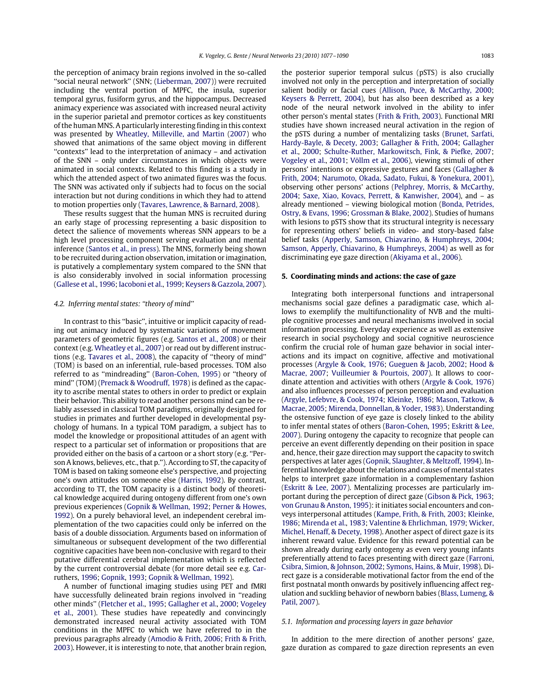the perception of animacy brain regions involved in the so-called ''social neural network'' (SNN; (Lieberman, 2007)) were recruited including the ventral portion of MPFC, the insula, superior temporal gyrus, fusiform gyrus, and the hippocampus. Decreased animacy experience was associated with increased neural activity in the superior parietal and premotor cortices as key constituents of the human MNS. A particularly interesting finding in this context was presented by Wheatley, Milleville, and Martin (2007) who showed that animations of the same object moving in different ''contexts'' lead to the interpretation of animacy – and activation of the SNN – only under circumstances in which objects were animated in social contexts. Related to this finding is a study in which the attended aspect of two animated figures was the focus. The SNN was activated only if subjects had to focus on the social interaction but not during conditions in which they had to attend to motion properties only (Tavares, Lawrence, & Barnard, 2008).

These results suggest that the human MNS is recruited during an early stage of processing representing a basic disposition to detect the salience of movements whereas SNN appears to be a high level processing component serving evaluation and mental inference (Santos et al., in press). The MNS, formerly being shown to be recruited during action observation, imitation or imagination, is putatively a complementary system compared to the SNN that is also considerably involved in social information processing (Gallese et al., 1996; Iacoboni et al., 1999; Keysers & Gazzola, 2007).

#### *4.2. Inferring mental states: ''theory of mind''*

In contrast to this ''basic'', intuitive or implicit capacity of reading out animacy induced by systematic variations of movement parameters of geometric figures (e.g. Santos et al., 2008) or their context (e.g. Wheatley et al., 2007) or read out by different instructions (e.g. Tavares et al., 2008), the capacity of ''theory of mind'' (TOM) is based on an inferential, rule-based processes. TOM also referred to as ''mindreading'' (Baron-Cohen, 1995) or ''theory of mind'' (TOM) (Premack & Woodruff, 1978) is defined as the capacity to ascribe mental states to others in order to predict or explain their behavior. This ability to read another persons mind can be reliably assessed in classical TOM paradigms, originally designed for studies in primates and further developed in developmental psychology of humans. In a typical TOM paradigm, a subject has to model the knowledge or propositional attitudes of an agent with respect to a particular set of information or propositions that are provided either on the basis of a cartoon or a short story (e.g. ''Person A knows, believes, etc., that p.''). According to ST, the capacity of TOM is based on taking someone else's perspective, and projecting one's own attitudes on someone else (Harris, 1992). By contrast, according to TT, the TOM capacity is a distinct body of theoretical knowledge acquired during ontogeny different from one's own previous experiences (Gopnik & Wellman, 1992; Perner & Howes, 1992). On a purely behavioral level, an independent cerebral implementation of the two capacities could only be inferred on the basis of a double dissociation. Arguments based on information of simultaneous or subsequent development of the two differential cognitive capacities have been non-conclusive with regard to their putative differential cerebral implementation which is reflected by the current controversial debate (for more detail see e.g. Carruthers, 1996; Gopnik, 1993; Gopnik & Wellman, 1992).

A number of functional imaging studies using PET and fMRI have successfully delineated brain regions involved in ''reading other minds'' (Fletcher et al., 1995; Gallagher et al., 2000; Vogeley et al., 2001). These studies have repeatedly and convincingly demonstrated increased neural activity associated with TOM conditions in the MPFC to which we have referred to in the previous paragraphs already (Amodio & Frith, 2006; Frith & Frith, 2003). However, it is interesting to note, that another brain region,

the posterior superior temporal sulcus (pSTS) is also crucially involved not only in the perception and interpretation of socially salient bodily or facial cues (Allison, Puce, & McCarthy, 2000; Keysers & Perrett, 2004), but has also been described as a key node of the neural network involved in the ability to infer other person's mental states (Frith & Frith, 2003). Functional MRI studies have shown increased neural activation in the region of the pSTS during a number of mentalizing tasks (Brunet, Sarfati, Hardy-Bayle, & Decety, 2003; Gallagher & Frith, 2004; Gallagher et al., 2000; Schulte-Ruther, Markowitsch, Fink, & Piefke, 2007; Vogeley et al., 2001; Völlm et al., 2006), viewing stimuli of other persons' intentions or expressive gestures and faces (Gallagher & Frith, 2004; Narumoto, Okada, Sadato, Fukui, & Yonekura, 2001), observing other persons' actions (Pelphrey, Morris, & McCarthy, 2004; Saxe, Xiao, Kovacs, Perrett, & Kanwisher, 2004), and – as already mentioned – viewing biological motion (Bonda, Petrides, Ostry, & Evans, 1996; Grossman & Blake, 2002). Studies of humans with lesions to pSTS show that its structural integrity is necessary for representing others' beliefs in video- and story-based false belief tasks (Apperly, Samson, Chiavarino, & Humphreys, 2004; Samson, Apperly, Chiavarino, & Humphreys, 2004) as well as for discriminating eye gaze direction (Akiyama et al., 2006).

#### **5. Coordinating minds and actions: the case of gaze**

Integrating both interpersonal functions and intrapersonal mechanisms social gaze defines a paradigmatic case, which allows to exemplify the multifunctionality of NVB and the multiple cognitive processes and neural mechanisms involved in social information processing. Everyday experience as well as extensive research in social psychology and social cognitive neuroscience confirm the crucial role of human gaze behavior in social interactions and its impact on cognitive, affective and motivational processes (Argyle & Cook, 1976; Gueguen & Jacob, 2002; Hood & Macrae, 2007; Vuilleumier & Pourtois, 2007). It allows to coordinate attention and activities with others (Argyle & Cook, 1976) and also influences processes of person perception and evaluation (Argyle, Lefebvre, & Cook, 1974; Kleinke, 1986; Mason, Tatkow, & Macrae, 2005; Mirenda, Donnellan, & Yoder, 1983). Understanding the ostensive function of eye gaze is closely linked to the ability to infer mental states of others (Baron-Cohen, 1995; Eskritt & Lee, 2007). During ontogeny the capacity to recognize that people can perceive an event differently depending on their position in space and, hence, their gaze direction may support the capacity to switch perspectives at later ages (Gopnik, Slaughter, & Meltzoff, 1994). Inferential knowledge about the relations and causes of mental states helps to interpret gaze information in a complementary fashion (Eskritt & Lee, 2007). Mentalizing processes are particularly important during the perception of direct gaze (Gibson & Pick, 1963; von Grunau & Anston, 1995): it initiates social encounters and conveys interpersonal attitudes (Kampe, Frith, & Frith, 2003; Kleinke, 1986; Mirenda et al., 1983; Valentine & Ehrlichman, 1979; Wicker, Michel, Henaff, & Decety, 1998). Another aspect of direct gaze is its inherent reward value. Evidence for this reward potential can be shown already during early ontogeny as even very young infants preferentially attend to faces presenting with direct gaze (Farroni, Csibra, Simion, & Johnson, 2002; Symons, Hains, & Muir, 1998). Direct gaze is a considerable motivational factor from the end of the first postnatal month onwards by positively influencing affect regulation and suckling behavior of newborn babies (Blass, Lumeng, & Patil, 2007).

#### *5.1. Information and processing layers in gaze behavior*

In addition to the mere direction of another persons' gaze, gaze duration as compared to gaze direction represents an even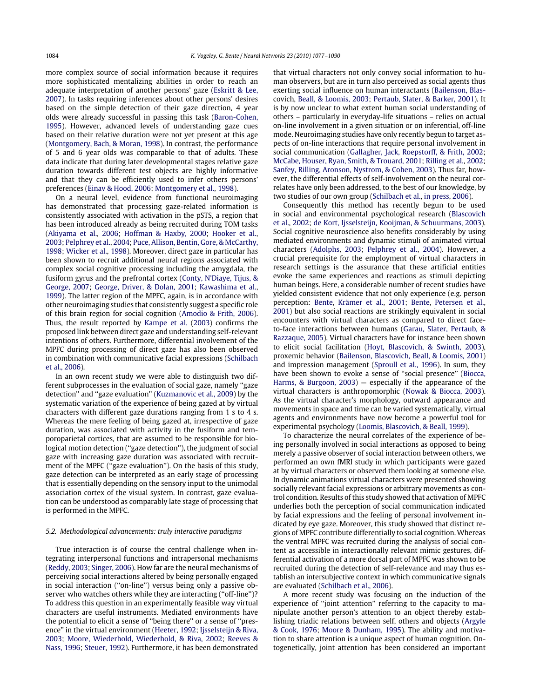more complex source of social information because it requires more sophisticated mentalizing abilities in order to reach an adequate interpretation of another persons' gaze (Eskritt & Lee, 2007). In tasks requiring inferences about other persons' desires based on the simple detection of their gaze direction, 4 year olds were already successful in passing this task (Baron-Cohen, 1995). However, advanced levels of understanding gaze cues based on their relative duration were not yet present at this age (Montgomery, Bach, & Moran, 1998). In contrast, the performance of 5 and 6 year olds was comparable to that of adults. These data indicate that during later developmental stages relative gaze duration towards different test objects are highly informative and that they can be efficiently used to infer others persons' preferences (Einav & Hood, 2006; Montgomery et al., 1998).

On a neural level, evidence from functional neuroimaging has demonstrated that processing gaze-related information is consistently associated with activation in the pSTS, a region that has been introduced already as being recruited during TOM tasks (Akiyama et al., 2006; Hoffman & Haxby, 2000; Hooker et al., 2003; Pelphrey et al., 2004; Puce, Allison, Bentin, Gore, & McCarthy, 1998; Wicker et al., 1998). Moreover, direct gaze in particular has been shown to recruit additional neural regions associated with complex social cognitive processing including the amygdala, the fusiform gyrus and the prefrontal cortex (Conty, N'Diaye, Tijus, & George, 2007; George, Driver, & Dolan, 2001; Kawashima et al., 1999). The latter region of the MPFC, again, is in accordance with other neuroimaging studies that consistently suggest a specific role of this brain region for social cognition (Amodio & Frith, 2006). Thus, the result reported by Kampe et al. (2003) confirms the proposed link between direct gaze and understanding self-relevant intentions of others. Furthermore, differential involvement of the MPFC during processing of direct gaze has also been observed in combination with communicative facial expressions (Schilbach et al., 2006).

In an own recent study we were able to distinguish two different subprocesses in the evaluation of social gaze, namely ''gaze detection'' and ''gaze evaluation'' (Kuzmanovic et al., 2009) by the systematic variation of the experience of being gazed at by virtual characters with different gaze durations ranging from 1 s to 4 s. Whereas the mere feeling of being gazed at, irrespective of gaze duration, was associated with activity in the fusiform and temporoparietal cortices, that are assumed to be responsible for biological motion detection (''gaze detection''), the judgment of social gaze with increasing gaze duration was associated with recruitment of the MPFC (''gaze evaluation''). On the basis of this study, gaze detection can be interpreted as an early stage of processing that is essentially depending on the sensory input to the unimodal association cortex of the visual system. In contrast, gaze evaluation can be understood as comparably late stage of processing that is performed in the MPFC.

#### *5.2. Methodological advancements: truly interactive paradigms*

True interaction is of course the central challenge when integrating interpersonal functions and intrapersonal mechanisms (Reddy, 2003; Singer, 2006). How far are the neural mechanisms of perceiving social interactions altered by being personally engaged in social interaction (''on-line'') versus being only a passive observer who watches others while they are interacting (''off-line'')? To address this question in an experimentally feasible way virtual characters are useful instruments. Mediated environments have the potential to elicit a sense of ''being there'' or a sense of ''presence'' in the virtual environment (Heeter, 1992; Ijsselsteijn & Riva, 2003; Moore, Wiederhold, Wiederhold, & Riva, 2002; Reeves & Nass, 1996; Steuer, 1992). Furthermore, it has been demonstrated that virtual characters not only convey social information to human observers, but are in turn also perceived as social agents thus exerting social influence on human interactants (Bailenson, Blascovich, Beall, & Loomis, 2003; Pertaub, Slater, & Barker, 2001). It is by now unclear to what extent human social understanding of others – particularly in everyday-life situations – relies on actual on-line involvement in a given situation or on inferential, off-line mode. Neuroimaging studies have only recently begun to target aspects of on-line interactions that require personal involvement in social communication (Gallagher, Jack, Roepstorff, & Frith, 2002; McCabe, Houser, Ryan, Smith, & Trouard, 2001; Rilling et al., 2002; Sanfey, Rilling, Aronson, Nystrom, & Cohen, 2003). Thus far, however, the differential effects of self-involvement on the neural correlates have only been addressed, to the best of our knowledge, by two studies of our own group (Schilbach et al., in press, 2006).

Consequently this method has recently begun to be used in social and environmental psychological research (Blascovich et al., 2002; de Kort, Ijsselsteijn, Kooijman, & Schuurmans, 2003). Social cognitive neuroscience also benefits considerably by using mediated environments and dynamic stimuli of animated virtual characters (Adolphs, 2003; Pelphrey et al., 2004). However, a crucial prerequisite for the employment of virtual characters in research settings is the assurance that these artificial entities evoke the same experiences and reactions as stimuli depicting human beings. Here, a considerable number of recent studies have yielded consistent evidence that not only experience (e.g. person perception: Bente, Krämer et al., 2001; Bente, Petersen et al., 2001) but also social reactions are strikingly equivalent in social encounters with virtual characters as compared to direct faceto-face interactions between humans (Garau, Slater, Pertaub, & Razzaque, 2005). Virtual characters have for instance been shown to elicit social facilitation (Hoyt, Blascovich, & Swinth, 2003), proxemic behavior (Bailenson, Blascovich, Beall, & Loomis, 2001) and impression management (Sproull et al., 1996). In sum, they have been shown to evoke a sense of ''social presence'' (Biocca, Harms, & Burgoon, 2003) — especially if the appearance of the virtual characters is anthropomorphic (Nowak & Biocca, 2003). As the virtual character's morphology, outward appearance and movements in space and time can be varied systematically, virtual agents and environments have now become a powerful tool for experimental psychology (Loomis, Blascovich, & Beall, 1999).

To characterize the neural correlates of the experience of being personally involved in social interactions as opposed to being merely a passive observer of social interaction between others, we performed an own fMRI study in which participants were gazed at by virtual characters or observed them looking at someone else. In dynamic animations virtual characters were presented showing socially relevant facial expressions or arbitrary movements as control condition. Results of this study showed that activation of MPFC underlies both the perception of social communication indicated by facial expressions and the feeling of personal involvement indicated by eye gaze. Moreover, this study showed that distinct regions of MPFC contribute differentially to social cognition.Whereas the ventral MPFC was recruited during the analysis of social content as accessible in interactionally relevant mimic gestures, differential activation of a more dorsal part of MPFC was shown to be recruited during the detection of self-relevance and may thus establish an intersubjective context in which communicative signals are evaluated (Schilbach et al., 2006).

A more recent study was focusing on the induction of the experience of ''joint attention'' referring to the capacity to manipulate another person's attention to an object thereby establishing triadic relations between self, others and objects (Argyle & Cook, 1976; Moore & Dunham, 1995). The ability and motivation to share attention is a unique aspect of human cognition. Ontogenetically, joint attention has been considered an important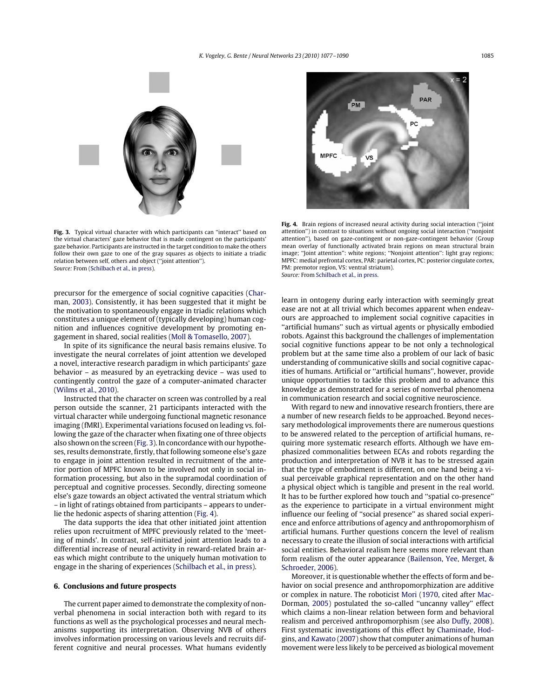

**Fig. 3.** Typical virtual character with which participants can ''interact'' based on the virtual characters' gaze behavior that is made contingent on the participants' gaze behavior. Participants are instructed in the target condition to make the others follow their own gaze to one of the gray squares as objects to initiate a triadic relation between self, others and object (''joint attention''). *Source:* From (Schilbach et al., in press).



**Fig. 4.** Brain regions of increased neural activity during social interaction (''joint attention'') in contrast to situations without ongoing social interaction (''nonjoint attention''), based on gaze-contingent or non-gaze-contingent behavior (Group mean overlay of functionally activated brain regions on mean structural brain image; ''Joint attention'': white regions; ''Nonjoint attention'': light gray regions; MPFC: medial prefrontal cortex, PAR: parietal cortex, PC: posterior cingulate cortex, PM: premotor region, VS: ventral striatum). *Source:* From Schilbach et al., in press.

precursor for the emergence of social cognitive capacities (Charman, 2003). Consistently, it has been suggested that it might be the motivation to spontaneously engage in triadic relations which constitutes a unique element of (typically developing) human cognition and influences cognitive development by promoting engagement in shared, social realities (Moll & Tomasello, 2007).

In spite of its significance the neural basis remains elusive. To investigate the neural correlates of joint attention we developed a novel, interactive research paradigm in which participants' gaze behavior – as measured by an eyetracking device – was used to contingently control the gaze of a computer-animated character (Wilms et al., 2010).

Instructed that the character on screen was controlled by a real person outside the scanner, 21 participants interacted with the virtual character while undergoing functional magnetic resonance imaging (fMRI). Experimental variations focused on leading vs. following the gaze of the character when fixating one of three objects also shown on the screen (Fig. 3). In concordance with our hypotheses, results demonstrate, firstly, that following someone else's gaze to engage in joint attention resulted in recruitment of the anterior portion of MPFC known to be involved not only in social information processing, but also in the supramodal coordination of perceptual and cognitive processes. Secondly, directing someone else's gaze towards an object activated the ventral striatum which – in light of ratings obtained from participants – appears to underlie the hedonic aspects of sharing attention (Fig. 4).

The data supports the idea that other initiated joint attention relies upon recruitment of MPFC previously related to the 'meeting of minds'. In contrast, self-initiated joint attention leads to a differential increase of neural activity in reward-related brain areas which might contribute to the uniquely human motivation to engage in the sharing of experiences (Schilbach et al., in press).

# **6. Conclusions and future prospects**

The current paper aimed to demonstrate the complexity of nonverbal phenomena in social interaction both with regard to its functions as well as the psychological processes and neural mechanisms supporting its interpretation. Observing NVB of others involves information processing on various levels and recruits different cognitive and neural processes. What humans evidently learn in ontogeny during early interaction with seemingly great ease are not at all trivial which becomes apparent when endeavours are approached to implement social cognitive capacities in ''artificial humans'' such as virtual agents or physically embodied robots. Against this background the challenges of implementation social cognitive functions appear to be not only a technological problem but at the same time also a problem of our lack of basic understanding of communicative skills and social cognitive capacities of humans. Artificial or ''artificial humans'', however, provide unique opportunities to tackle this problem and to advance this knowledge as demonstrated for a series of nonverbal phenomena in communication research and social cognitive neuroscience.

With regard to new and innovative research frontiers, there are a number of new research fields to be approached. Beyond necessary methodological improvements there are numerous questions to be answered related to the perception of artificial humans, requiring more systematic research efforts. Although we have emphasized commonalities between ECAs and robots regarding the production and interpretation of NVB it has to be stressed again that the type of embodiment is different, on one hand being a visual perceivable graphical representation and on the other hand a physical object which is tangible and present in the real world. It has to be further explored how touch and ''spatial co-presence'' as the experience to participate in a virtual environment might influence our feeling of ''social presence'' as shared social experience and enforce attributions of agency and anthropomorphism of artificial humans. Further questions concern the level of realism necessary to create the illusion of social interactions with artificial social entities. Behavioral realism here seems more relevant than form realism of the outer appearance (Bailenson, Yee, Merget, & Schroeder, 2006).

Moreover, it is questionable whether the effects of form and behavior on social presence and anthropomorphization are additive or complex in nature. The roboticist Mori (1970, cited after Mac-Dorman, 2005) postulated the so-called ''uncanny valley'' effect which claims a non-linear relation between form and behavioral realism and perceived anthropomorphism (see also Duffy, 2008). First systematic investigations of this effect by Chaminade, Hodgins, and Kawato (2007) show that computer animations of human movement were less likely to be perceived as biological movement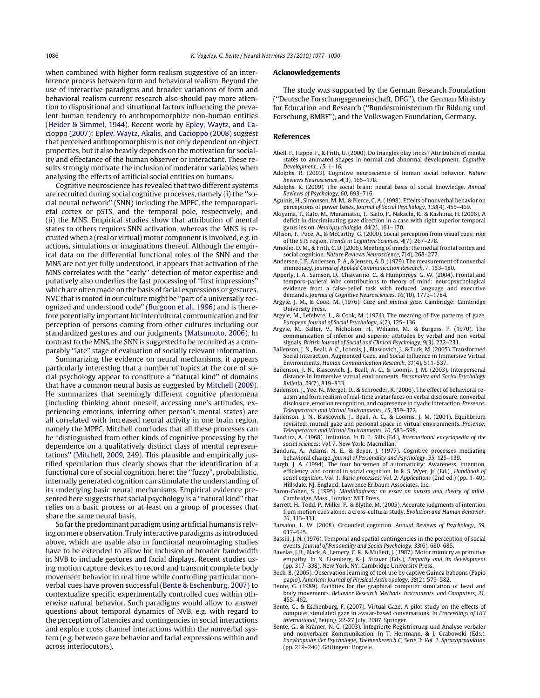when combined with higher form realism suggestive of an interference process between form and behavioral realism. Beyond the use of interactive paradigms and broader variations of form and behavioral realism current research also should pay more attention to dispositional and situational factors influencing the prevalent human tendency to anthropomorphize non-human entities (Heider & Simmel, 1944). Recent work by Epley, Waytz, and Cacioppo (2007); Epley, Waytz, Akalis, and Cacioppo (2008) suggest that perceived anthropomorphism is not only dependent on object properties, but it also heavily depends on the motivation for sociality and effectance of the human observer or interactant. These results strongly motivate the inclusion of moderator variables when analysing the effects of artificial social entities on humans.

Cognitive neuroscience has revealed that two different systems are recruited during social cognitive processes, namely (i) the ''social neural network'' (SNN) including the MPFC, the temporoparietal cortex or pSTS, and the temporal pole, respectively, and (ii) the MNS. Empirical studies show that attribution of mental states to others requires SNN activation, whereas the MNS is recruited when a (real or virtual) motor component is involved, e.g. in actions, simulations or imaginations thereof. Although the empirical data on the differential functional roles of the SNN and the MNS are not yet fully understood, it appears that activation of the MNS correlates with the ''early'' detection of motor expertise and putatively also underlies the fast processing of ''first impressions'' which are often made on the basis of facial expressions or gestures. NVC that is rooted in our culture might be ''part of a universally recognized and understood code'' (Burgoon et al., 1996) and is therefore potentially important for intercultural communication and for perception of persons coming from other cultures including our standardized gestures and our judgments (Matsumoto, 2006). In contrast to the MNS, the SNN is suggested to be recruited as a comparably ''late'' stage of evaluation of socially relevant information.

Summarizing the evidence on neural mechanisms, it appears particularly interesting that a number of topics at the core of social psychology appear to constitute a ''natural kind'' of domains that have a common neural basis as suggested by Mitchell (2009). He summarizes that seemingly different cognitive phenomena (including thinking about oneself, accessing one's attitudes, experiencing emotions, inferring other person's mental states) are all correlated with increased neural activity in one brain region, namely the MPFC. Mitchell concludes that all these processes can be ''distinguished from other kinds of cognitive processing by the dependence on a qualitatively distinct class of mental representations'' (Mitchell, 2009, 249). This plausible and empirically justified speculation thus clearly shows that the identification of a functional core of social cognition, here: the ''fuzzy'', probabilistic, internally generated cognition can stimulate the understanding of its underlying basic neural mechanisms. Empirical evidence presented here suggests that social psychology is a ''natural kind'' that relies on a basic process or at least on a group of processes that share the same neural basis.

So far the predominant paradigm using artificial humans is relying on mere observation. Truly interactive paradigms as introduced above, which are usable also in functional neuroimaging studies have to be extended to allow for inclusion of broader bandwidth in NVB to include gestures and facial displays. Recent studies using motion capture devices to record and transmit complete body movement behavior in real time while controlling particular nonverbal cues have proven successful (Bente & Eschenburg, 2007) to contextualize specific experimentally controlled cues within otherwise natural behavior. Such paradigms would allow to answer questions about temporal dynamics of NVB, e.g. with regard to the perception of latencies and contingencies in social interactions and explore cross channel interactions within the nonverbal system (e.g. between gaze behavior and facial expressions within and across interlocutors).

#### **Acknowledgements**

The study was supported by the German Research Foundation (''Deutsche Forschungsgemeinschaft, DFG''), the German Ministry for Education and Research (''Bundesministerium für Bildung und Forschung, BMBF''), and the Volkswagen Foundation, Germany.

#### **References**

- Abell, F., Happe, F., & Frith, U. (2000). Do triangles play tricks? Attribution of mental states to animated shapes in normal and abnormal development. *Cognitive Development*, *15*, 1–16.
- Adolphs, R. (2003). Cognitive neuroscience of human social behavior. *Nature Reviews Neuroscience*, *4*(3), 165–178.
- Adolphs, R. (2009). The social brain: neural basis of social knowledge. *Annual Reviews of Psychology*, *60*, 693–716.
- Aguinis, H., Simonsen, M. M., & Pierce, C. A. (1998). Effects of nonverbal behavior on perceptions of power bases. *Journal of Social Psychology*, *138*(4), 455–469.
- Akiyama, T., Kato, M., Muramatsu, T., Saito, F., Nakachi, R., & Kashima, H. (2006). A deficit in discriminating gaze direction in a case with right superior temporal gyrus lesion. *Neuropsychologia*, *44*(2), 161–170.
- Allison, T., Puce, A., & McCarthy, G. (2000). Social perception from visual cues: role of the STS region. *Trends in Cognitive Sciences*, *4*(7), 267–278.
- Amodio, D. M., & Frith, C. D. (2006). Meeting of minds: the medial frontal cortex and social cognition. *Nature Reviews Neuroscience*, *7*(4), 268–277.
- Andersen, J. F., Andersen, P. A., & Jensen, A. D. (1979). The measurement of nonverbal immediacy. *Journal of Applied Communication Research*, *7*, 153–180.
- Apperly, I. A., Samson, D., Chiavarino, C., & Humphreys, G. W. (2004). Frontal and temporo-parietal lobe contributions to theory of mind: neuropsychological evidence from a false-belief task with reduced language and executive demands. *Journal of Cognitive Neurosciences*, *16*(10), 1773–1784.
- Argyle, J. M., & Cook, M. (1976). *Gaze and mutual gaze*. Cambridge: Cambridge University Press.
- Argyle, M., Lefebvre, L., & Cook, M. (1974). The meaning of five patterns of gaze. *European Journal of Social Psychology*, *4*(2), 125–136. Argyle, M., Salter, V., Nicholson, H., Wiliams, M., & Burgess, P. (1970). The
- communication of inferior and superior attitudes by verbal and non verbal signals. *British Journal of Social and Clinical Psychology*, *9*(3), 222–231.
- Bailenson, J. N., Beall, A. C., Loomis, J., Blascovich, J., & Turk, M. (2005). Transformed Social Interaction, Augmented Gaze, and Social Influence in Immersive Virtual Environments. *Human Communication Research*, *31*(4), 511–537.
- Bailenson, J. N., Blascovich, J., Beall, A. C., & Loomis, J. M. (2003). Interpersonal distance in immersive virtual environments. *Personality and Social Psychology Bulletin*, *29*(7), 819–833.
- Bailenson, J., Yee, N., Merget, D., & Schroeder, R. (2006). The effect of behavioral realism and form realism of real-time avatar faces on verbal disclosure, nonverbal disclosure, emotion recognition, and copresence in dyadic interaction. *Presence:*
- *Teleoperators and Virtual Environments*, *15*, 359–372. Bailenson, J. N., Blascovich, J., Beall, A. C., & Loomis, J. M. (2001). Equilibrium revisited: mutual gaze and personal space in virtual environments. *Presence: Teleoperators and Virtual Environments*, *10*, 583–598.
- Bandura, A. (1968). Imitation. In D. L. Sills (Ed.), *International encyclopedia of the social sciences*: *Vol. 7*. New York: Macmillan.
- Bandura, A., Adams, N. E., & Beyer, J. (1977). Cognitive processes mediating behavioral change. *Journal of Personality and Psychology*, *35*, 125–139.
- Bargh, J. A. (1994). The four horsemen of automaticity: Awareness, intention, efficiency, and control in social cognition. In R. S. Wyer, Jr. (Ed.)., *Handbook of social cognition, Vol. 1: Basic processes; Vol. 2: Applications* (2nd ed.) (pp. 1–40). Hillsdale, NJ, England: Lawrence Erlbaum Associates, Inc.
- Baron-Cohen, S. (1995). *Mindblindness: an essay on autism and theory of mind*. Cambridge, Mass., London: MIT Press.
- Barrett, H., Todd, P., Miller, F., & Blythe, M. (2005). Accurate judgments of intention from motion cues alone: a cross-cultural study. *Evolution and Human Behavior*, *26*, 313–331.
- Barsalou, L. W. (2008). Grounded cognition. *Annual Reviews of Psychology*, *59*, 617–645.
- Bassili, J. N. (1976). Temporal and spatial contingencies in the perception of social events. *Journal of Personality and Social Psychology*, *33*(6), 680–685.
- Bavelas, J. B., Black, A., Lemery, C. R., & Mullett, J. (1987). Motor mimicry as primitive empathy. In N. Eisenberg, & J. Strayer (Eds.), *Empathy and its development* (pp. 317–338). New York, NY: Cambridge University Press.
- Beck, B. (2005). Observation learning of tool use by captive Guinea baboons (Papio papio). *American Journal of Physical Anthropology*, *38*(2), 579–582.
- Bente, G. (1989). Facilities for the graphical computer simulation of head and body movements. *Behavior Research Methods, Instruments, and Computers*, *21*, 455–462.
- Bente, G., & Eschenburg, F. (2007). Virtual Gaze. A pilot study on the effects of computer simulated gaze in avatar-based conversations. In *Proceedings of HCI international*, Beijing, 22-27 July, 2007. Springer.
- Bente, G., & Krämer, N. C. (2003). Integrierte Registrierung und Analyse verbaler und nonverbaler Kommunikation. In T. Herrmann, & J. Grabowski (Eds.), *Enzyklopädie der Psychologie, Themenbereich C, Serie 3*: *Vol. 1*. *Sprachproduktion* (pp. 219–246). Göttingen: Hogrefe.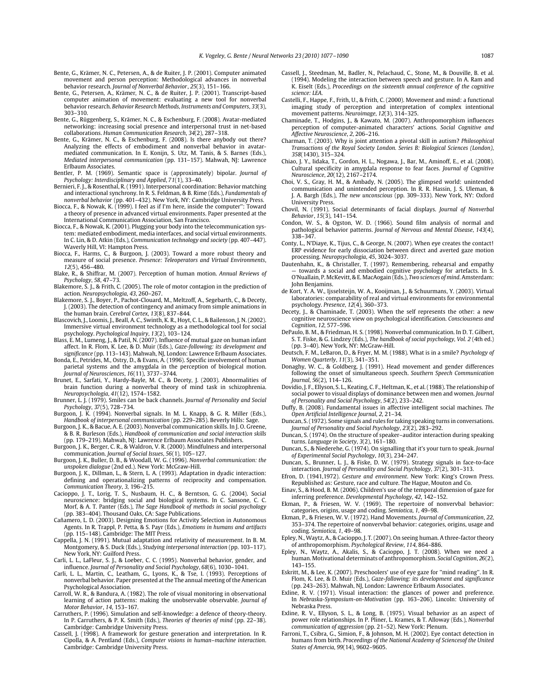- Bente, G., Krämer, N. C., Petersen, A., & de Ruiter, J. P. (2001). Computer animated movement and person perception: Methodological advances in nonverbal behavior research. *Journal of Nonverbal Behavior*, *25*(3), 151–166.
- Bente, G., Petersen, A., Krämer, N. C., & de Ruiter, J. P. (2001). Transcript-based computer animation of movement: evaluating a new tool for nonverbal behavior research. *Behavior Research Methods, Instruments and Computers*, *33*(3), 303–310.
- Bente, G., Rüggenberg, S., Krämer, N. C., & Eschenburg, F. (2008). Avatar-mediated networking: increasing social presence and interpersonal trust in net-based collaborations. *Human Communication Research*, *34*(2), 287–318.
- Bente, G., Krämer, N. C., & Eschenburg, F. (2008). Is there anybody out there? Analyzing the effects of embodiment and nonverbal behavior in avatarmediated communication. In E. Konijn, S. Utz, M. Tanis, & S. Barnes (Eds.), *Mediated interpersonal communication* (pp. 131–157). Mahwah, NJ: Lawrence Erlbaum Associates.
- Bentler, P. M. (1969). Semantic space is (approximately) bipolar. *Journal of Psychology: Interdisciplinary and Applied*, *71*(1), 33–40. Bernieri, F. J., & Rosenthal, R. (1991). Interpersonal coordination: Behavior matching
- and interactional synchrony. In R. S. Feldman, & B. Rime (Eds.), *Fundamentals of nonverbal behavior* (pp. 401–432). New York, NY: Cambridge University Press.
- Biocca, F., & Nowak, K. (1999). I feel as if I'm here, inside the computer'': Toward a theory of presence in advanced virtual environments. Paper presented at the International Communication Association, San Francisco.
- Biocca, F., & Nowak, K. (2001). Plugging your body into the telecommunication system: mediated embodiment, media interfaces, and social virtual environments. In C. Lin, & D. Atkin (Eds.), *Communication technology and society* (pp. 407–447). Waverly Hill, VI: Hampton Press.
- Biocca, F., Harms, C., & Burgoon, J. (2003). Toward a more robust theory and measure of social presence. *Presence: Teleoperators and Virtual Environments*, *12*(5), 456–480.
- Blake, R., & Shiffrar, M. (2007). Perception of human motion. *Annual Reviews of Psychology*, *58*, 47–73.
- Blakemore, S. J., & Frith, C. (2005). The role of motor contagion in the prediction of action. *Neuropsychologia*, *43*, 260–267.
- Blakemore, S. J., Boyer, P., Pachot-Clouard, M., Meltzoff, A., Segebarth, C., & Decety, J. (2003). The detection of contingency and animacy from simple animations in the human brain. *Cerebral Cortex*, *13*(8), 837–844.
- Blascovich, J., Loomis, J., Beall, A. C., Swinth, K. R., Hoyt, C. L., & Bailenson, J. N. (2002). Immersive virtual environment technology as a methodological tool for social psychology. *Psychological Inquiry*, *13*(2), 103–124.
- Blass, E. M., Lumeng, J., & Patil, N. (2007). Influence of mutual gaze on human infant affect. In R. Flom, K. Lee, & D. Muir (Eds.), *Gaze-following: its development and significance* (pp. 113–143). Mahwah, NJ, London: Lawrence Erlbaum Associates.
- Bonda, E., Petrides, M., Ostry, D., & Evans, A. (1996). Specific involvement of human parietal systems and the amygdala in the perception of biological motion.
- *Journal of Neurosciences*, *16*(11), 3737–3744. Brunet, E., Sarfati, Y., Hardy-Bayle, M. C., & Decety, J. (2003). Abnormalities of brain function during a nonverbal theory of mind task in schizophrenia. *Neuropsychologia*, *41*(12), 1574–1582.
- Brunner, L. J. (1979). Smiles can be back channels. *Journal of Personality and Social Psychology*, *37*(5), 728–734.
- Burgoon, J. K. (1994). Nonverbal signals. In M. L. Knapp, & G. R. Miller (Eds.), *Handbook of interpersonal communication* (pp. 229–285). Beverly Hills: Sage.
- Burgoon, J. K., & Bacue, A. E. (2003). Nonverbal communication skills. In J. O. Greene, & B. R. Burleson (Eds.), *Handbook of communication and social interaction skills* (pp. 179–219). Mahwah, NJ: Lawrence Erlbaum Associates Publishers.
- Burgoon, J. K., Berger, C. R., & Waldron, V. R. (2000). Mindfulness and interpersonal communication. *Journal of Social Issues*, *56*(1), 105–127.
- Burgoon, J. K., Buller, D. B., & Woodall, W. G. (1996). *Nonverbal communication: the unspoken dialogue* (2nd ed.). New York: McGraw-Hill.
- Burgoon, J. K., Dillman, L., & Stern, L. A. (1993). Adaptation in dyadic interaction: defining and operationalizing patterns of reciprocity and compensation. *Communication Theory*, *3*, 196–215. Cacioppo, J. T., Lorig, T. S., Nusbaum, H. C., & Berntson, G. G. (2004). Social
- neuroscience: bridging social and biological systems. In C. Sansone, C. C. Morf, & A. T. Panter (Eds.), *The Sage Handbook of methods in social psychology* (pp. 383–404). Thousand Oaks, CA: Sage Publications.
- Cañamero, L. D. (2003). Designing Emotions for Activity Selection in Autonomous Agents. In R. Trappl, P. Petta, & S. Payr (Eds.), *Emotions in humans and artifacts* (pp. 115–148). Cambridge: The MIT Press.
- Cappella, J. N. (1991). Mutual adaptation and relativity of measurement. In B. M. Montgomery, & S. Duck (Eds.), *Studying interpersonal interaction* (pp. 103–117). New York, NY: Guilford Press.
- Carli, L. L., LaFleur, S. J., & Loeber, C. C. (1995). Nonverbal behavior, gender, and influence. *Journal of Personality and Social Psychology*, *68*(6), 1030–1041.
- Carli, L. L., Martin, C., Leatham, G., Lyons, K., & Tse, I. (1993). Perceptions of nonverbal behavior. Paper presented at the The annual meeting of the American Psychological Association.
- Carroll, W. R., & Bandura, A. (1982). The role of visual monitoring in observational learning of action patterns: making the unobservable observable. *Journal of Motor Behavior*, *14*, 153–167.
- Carruthers, P. (1996). Simulation and self-knowledge: a defence of theory-theory. In P. Carruthers, & P. K. Smith (Eds.), *Theories of theories of mind* (pp. 22–38). Cambridge: Cambridge University Press.
- Cassell, J. (1998). A framework for gesture generation and interpretation. In R. Cipolla, & A. Pentland (Eds.), *Computer visions in human–machine interaction*. Cambridge: Cambridge University Press.
- Cassell, J., Steedman, M., Badler, N., Pelachaud, C., Stone, M., & Douville, B. et al. (1994). Modeling the interaction between speech and gesture. In A. Ram and K. Eiselt (Eds.), *Proceedings on the sixteenth annual conference of the cognitive science: LEA*.
- Castelli, F., Happe, F., Frith, U., & Frith, C. (2000). Movement and mind: a functional imaging study of perception and interpretation of complex intentional movement patterns. *Neuroimage*, *12*(3), 314–325.
- Chaminade, T., Hodgins, J., & Kawato, M. (2007). Anthropomorphism influences perception of computer-animated characters' actions. *Social Cognitive and Affective Neuroscience*, *2*, 206–216.
- Charman, T. (2003). Why is joint attention a pivotal skill in autism? *Philosophical Transactions of the Royal Society London. Series B: Biological Sciences (London)*, *358*(1430), 315–324.
- Chiao, J. Y., Iidaka, T., Gordon, H. L., Nogawa, J., Bar, M., Aminoff, E., et al. (2008). Cultural specificity in amygdala response to fear faces. *Journal of Cognitive Neuroscience*, *20*(12), 2167–2174.
- Choi, V. S., Gray, H. M., & Ambady, N. (2005). The glimpsed world: unintended communication and unintended perception. In R. R. Hassin, J. S. Uleman, & J. A. Bargh (Eds.), *The new unconscious* (pp. 309–333). New York, NY: Oxford University Press.
- Chovil, N. (1991). Social determinants of facial displays. *Journal of Nonverbal Behavior*, *15*(3), 141–154.
- Condon, W. S., & Ogston, W. D. (1966). Sound film analysis of normal and pathological behavior patterns. *Journal of Nervous and Mental Disease*, *143*(4), 338–347.
- Conty, L., N'Diaye, K., Tijus, C., & George, N. (2007). When eye creates the contact! ERP evidence for early dissociation between direct and averted gaze motion processing. *Neuropsychologia*, *45*, 3024–3037.
- Dautenhahn, K., & Christaller, T. (1997). Remembering, rehearsal and empathy — towards a social and embodied cognitive psychology for artefacts. In S. O'Nuallain, P. McKevitt, & E. MacAogain (Eds.), *Two sciences of mind*. Amsterdam: John Benjamins.
- de Kort, Y. A. W., Ijsselsteijn, W. A., Kooijman, J., & Schuurmans, Y. (2003). Virtual laboratories: comparability of real and virtual environments for environmental psychology. *Presence*, *12*(4), 360–373.
- Decety, J., & Chaminade, T. (2003). When the self represents the other: a new cognitive neuroscience view on psychological identification. *Consciousness and Cognition*, *12*, 577–596.
- DePaulo, B. M., & Friedman, H. S. (1998). Nonverbal communication. In D. T. Gilbert, S. T. Fiske, & G. Lindzey (Eds.), *The handbook of social psychology, Vol. 2* (4th ed.) (pp. 3–40). New York, NY: McGraw-Hill.
- Deutsch, F. M., LeBaron, D., & Fryer, M. M. (1988). What is in a smile? *Psychology of Women Quarterly*, *11*(3), 341–351.
- Donaghy, W. C., & Goldberg, J. (1991). Head movement and gender differences following the onset of simultaneous speech. *Southern Speech Communication Journal*, *56*(2), 114–126.
- Dovidio, J. F., Ellyson, S. L., Keating, C. F., Heltman, K., et al. (1988). The relationship of social power to visual displays of dominance between men and women. *Journal of Personality and Social Psychology*, *54*(2), 233–242.
- Duffy, B. (2008). Fundamental issues in affective intelligent social machines. *The Open Artificial Intelligence Journal*, *2*, 21–34.
- Duncan, S. (1972). Some signals and rules for taking speaking turns in conversations. *Journal of Personality and Social Psychology*, *23*(2), 283–292.
- Duncan, S. (1974). On the structure of speaker–auditor interaction during speaking turns. *Language in Society*, *3*(2), 161–180.
- Duncan, S., & Niederehe, G. (1974). On signalling that it's your turn to speak. *Journal of Experimental Social Psychology*, *10*(3), 234–247.
- Duncan, S., Brunner, L. J., & Fiske, D. W. (1979). Strategy signals in face-to-face interaction. *Journal of Personality and Social Psychology*, *37*(2), 301–313.
- Efron, D. (1941,1972). *Gesture and environment*. New York: King's Crown Press. Republished as: Gesture, race and culture. The Hague, Mouton and Co.
- Einav, S., & Hood, B. M. (2006). Children's use of the temporal dimension of gaze for inferring preference. *Developmental Psychology*, *42*, 142–152.
- Ekman, P., & Friesen, W. V. (1969). The repertoire of nonvervbal behavior: categories, origins, usage and coding. *Semiotica*, *1*, 49–98.
- Ekman, P., & Friesen, W. V. (1972). Hand Movements. *Journal of Communication*, *22*, 353–374. The repertoire of nonvervbal behavior: categories, origins, usage and coding. *Semiotica, 1*, 49–98.
- Epley, N., Waytz, A., & Cacioppo, J. T. (2007). On seeing human. A three-factor theory of anthropomorphism. *Psychological Review*, *114*, 864–886.
- Epley, N., Waytz, A., Akalis, S., & Cacioppo, J. T. (2008). When we need a human. Motivational determinats of anthropomorphism. *Social Cognition*, *26*(2), 143–155.
- Eskritt, M., & Lee, K. (2007). Preschoolers' use of eye gaze for ''mind reading''. In R. Flom, K. Lee, & D. Muir (Eds.), *Gaze-following: its development and significance* (pp. 243–263). Mahwah, NJ, London: Lawrence Erlbaum Associates.
- Exline, R. V. (1971). Visual interaction: the glances of power and preference. In *Nebraska-Symposium-on-Motivation* (pp. 163–206). Lincoln: University of Nebraska Press.
- Exline, R. V., Ellyson, S. L., & Long, B. (1975). Visual behavior as an aspect of power role relationships. In P. Pliner, L. Krames, & T. Alloway (Eds.), *Nonverbal communication of aggression* (pp. 21–52). New York: Plenum.
- Farroni, T., Csibra, G., Simion, F., & Johnson, M. H. (2002). Eye contact detection in humans from birth. *Proceedings of the National Academy of Sciencesof the United States of Amercia*, *99*(14), 9602–9605.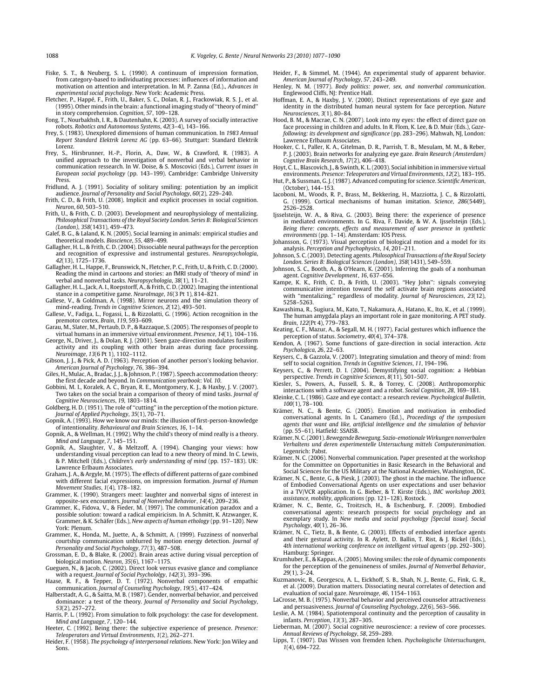- Fiske, S. T., & Neuberg, S. L. (1990). A continuum of impression formation, from category-based to individuating processes: influences of information and motivation on attention and interpretation. In M. P. Zanna (Ed.)., *Advances in experimental social psychology*. New York: Academic Press.
- Fletcher, P., Happé, F., Frith, U., Baker, S. C., Dolan, R. J., Frackowiak, R. S. J., et al. (1995). Other minds in the brain: a functional imaging study of ''theory of mind'' in story comprehension. *Cognition*, *57*, 109–128.
- Fong, T., Nourbakhsh, I. R., & Dautenhahn, K. (2003). A survey of socially interactive robots. *Robotics and Autonomous Systems*, *42*(3–4), 143–166.
- Frey, S. (1983). Unexplored dimensions of human communication. In *1983 Annual Report Standard Elektrik Lorenz AG* (pp. 63–66). Stuttgart: Standard Elektrik Lorenz.
- Frey, S., Hirsbrunner, H.-P., Florin, A., Daw, W., & Crawford, R. (1983). A unified approach to the investigation of nonverbal and verbal behavior in communication ressearch. In W. Doise, & S. Moscovici (Eds.), *Current issues in European social psychology* (pp. 143–199). Cambridge: Cambridge University Press.
- Fridlund, A. J. (1991). Sociality of solitary smiling: potentiation by an implicit audience. *Journal of Personality and Social Psychology*, *60*(2), 229–240.
- Frith, C. D., & Frith, U. (2008). Implicit and explicit processes in social cognition. *Neuron*, *60*, 503–510.
- Frith, U., & Frith, C. D. (2003). Development and neurophysiology of mentalizing. *Philosophical Transactions of the Royal Society London. Series B: Biological Sciences (London)*, *358*(1431), 459–473.
- Galef, B. G., & Laland, K. N. (2005). Social learning in animals: empirical studies and theoretical models. *Bioscience*, *55*, 489–499.
- Gallagher, H. L., & Frith, C. D. (2004). Dissociable neural pathways for the perception and recognition of expressive and instrumental gestures. *Neuropsychologia*, *42*(13), 1725–1736.
- Gallagher, H. L., Happe, F., Brunswick, N., Fletcher, P. C., Frith, U., & Frith, C. D. (2000). Reading the mind in cartoons and stories: an fMRI study of 'theory of mind' in verbal and nonverbal tasks. *Neuropsychologia*, *38*(1), 11–21.
- Gallagher, H. L., Jack, A. I., Roepstorff, A., & Frith, C. D. (2002). Imaging the intentional stance in a competitive game. *NeuroImage*, *16*(3 Pt 1), 814–821. Gallese, V., & Goldman, A. (1998). Mirror neurons and the simulation theory of
- mind-reading. *Trends in Cognitive Sciences*, *2*(12), 493–501.
- Gallese, V., Fadiga, L., Fogassi, L., & Rizzolatti, G. (1996). Action recognition in the premotor cortex. *Brain*, *119*, 593–609.
- Garau, M., Slater, M., Pertaub, D. P., & Razzaque, S. (2005). The responses of people to virtual humans in an immersive virtual environment. *Presence*, *14*(1), 104–116.
- George, N., Driver, J., & Dolan, R. J. (2001). Seen gaze-direction modulates fusiform activity and its coupling with other brain areas during face processing. *Neuroimage*, *13*(6 Pt 1), 1102–1112.
- Gibson, J. J., & Pick, A. D. (1963). Perception of another person's looking behavior. *American Journal of Psychology*, *76*, 386–394.
- Giles, H., Mulac, A., Bradac, J. J., & Johnson, P. (1987). Speech accommodation theory: the first decade and beyond. In *Communication yearbook*: *Vol. 10*.
- Gobbini, M. I., Koralek, A. C., Bryan, R. E., Montgomery, K. J., & Haxby, J. V. (2007). Two takes on the social brain a comparison of theory of mind tasks. *Journal of Cognitive Neurosciences*, *19*, 1803–1814.
- Goldberg, H. D. (1951). The role of ''cutting'' in the perception of the motion picture. *Journal of Applied Psychology*, *35*(1), 70–71.
- Gopnik, A. (1993). How we know our minds: the illusion of first-person-knowledge of intentionality. *Behavioural and Brain Sciences*, *16*, 1–14. Gopnik, A., & Wellman, H. (1992). Why the child's theory of mind really is a theory.
- 
- *Mind and Language*, *7*, 145–151. Gopnik, A., Slaughter, V., & Meltzoff, A. (1994). Changing your views: how understanding visual perception can lead to a new theory of mind. In C. Lewis, & P. Mitchell (Eds.), *Children's early understanding of mind* (pp. 157–183). UK: Lawrence Erlbaum Associates.
- Graham, J. A., & Argyle, M. (1975). The effects of different patterns of gaze combined with different facial expressions, on impression formation. *Journal of Human Movement Studies*, *1*(4), 178–182.
- Grammer, K. (1990). Strangers meet: laughter and nonverbal signs of interest in opposite-sex encounters. *Journal of Nonverbal Behavior*, *14*(4), 209–236.
- Grammer, K., Fidova, V., & Fieder, M. (1997). The communication paradox and a possible solution: toward a radical empiricism. In A. Schmitt, K. Atzwanger, K. Grammer, & K. Schäfer (Eds.), *New aspects of human ethology* (pp. 91–120). New York: Plenum.
- Grammer, K., Honda, M., Juette, A., & Schmitt, A. (1999). Fuzziness of nonverbal courtship communication unblurred by motion energy detection. *Journal of Personality and Social Psychology*, *77*(3), 487–508.
- Grossman, E. D., & Blake, R. (2002). Brain areas active during visual perception of biological motion. *Neuron*, *35*(6), 1167–1175.
- Gueguen, N., & Jacob, C. (2002). Direct look versus evasive glance and compliance with a request. *Journal of Social Psychololgy*, *142*(3), 393–396.
- Haase, R. F., & Tepper, D. T. (1972). Nonverbal components of empathic communication. *Journal of Counseling Psychology*, *19*(5), 417–424.
- Halberstadt, A. G., & Saitta, M. B. (1987). Gender, nonverbal behavior, and perceived dominance: a test of the theory. *Journal of Personality and Social Psychology*, *53*(2), 257–272.
- Harris, P. L. (1992). From simulation to folk psychology: the case for development. *Mind and Language*, *7*, 120–144.
- Heeter, C. (1992). Being there: the subjective experience of presence. *Presence: Teleoperators and Virtual Environments*, *1*(2), 262–271.
- Heider, F. (1958). *The psychology of interpersonal relations*. New York: Jon Wiley and Sons.
- Heider, F., & Simmel, M. (1944). An experimental study of apparent behavior. *American Journal of Psychology*, *57*, 243–249.
- Henley, N. M. (1977). *Body politics: power, sex, and nonverbal communication*. Englewood Cliffs, NJ: Prentice Hall.
- Hoffman, E. A., & Haxby, J. V. (2000). Distinct representations of eye gaze and identity in the distributed human neural system for face perception. *Nature Neurosciences*, *3*(1), 80–84.
- Hood, B. M., & Macrae, C. N. (2007). Look into my eyes: the effect of direct gaze on face processing in children and adults. In R. Flom, K. Lee, & D. Muir (Eds.), *Gazefollowing: its development and significance* (pp. 283–296). Mahwah, NJ, London: Lawrence Erlbaum Associates.
- Hooker, C. I., Paller, K. A., Gitelman, D. R., Parrish, T. B., Mesulam, M. M., & Reber, P. J. (2003). Brain networks for analyzing eye gaze. *Brain Research (Amsterdam) Cogntive Brain Research*, *17*(2), 406–418.
- Hoyt, C. L., Blascovich, J., & Swinth, K. L. (2003). Social inhibition in immersive virtual environments. *Presence: Teleoperators and Virtual Environments*, *12*(2), 183–195.
- Hut, P., & Sussman, G. J. (1987). Advanced computing for science. *Scientific American*, (October), 144–153.
- Iacoboni, M., Woods, R. P., Brass, M., Bekkering, H., Mazziotta, J. C., & Rizzolatti, G. (1999). Cortical mechanisms of human imitation. *Science*, *286*(5449), 2526–2528.
- Ijsselsteijn, W. A., & Riva, G. (2003). Being there: the experience of presence in mediated environments. In G. Riva, F. Davide, & W. A. Ijsselsteijn (Eds.), *Being there: concepts, effects and measurement of user presence in synthetic environments* (pp. 1–14). Amsterdam: IOS Press.
- Johansson, G. (1973). Visual perception of biological motion and a model for its analysis. *Perception and Psychophysics*, *14*, 201–211.
- Johnson, S. C. (2003). Detecting agents. *Philosophical Transactions of the Royal Society London. Series B: Biological Sciences (London)*, *358*(1431), 549–559.
- Johnson, S. C., Booth, A., & O'Hearn, K. (2001). Inferring the goals of a nonhuman agent. *Cognitive Development*, *16*, 637–656.
- Kampe, K. K., Frith, C. D., & Frith, U. (2003). ''Hey John'': signals conveying communicative intention toward the self activate brain regions associated with ''mentalizing,'' regardless of modality. *Journal of Neurosciences*, *23*(12), 5258–5263.
- Kawashima, R., Sugiura, M., Kato, T., Nakamura, A., Hatano, K., Ito, K., et al. (1999). The human amygdala plays an important role in gaze monitoring. A PET study. *Brain*, *122*(Pt 4), 779–783.
- Keating, C. F., Mazur, A., & Segall, M. H. (1977). Facial gestures which influence the perception of status. *Sociometry*, *40*(4), 374–378.
- Kendon, A. (1967). Some functions of gaze-direction in social interaction. *Acta Psychologica*, *26*, 22–63.
- Keysers, C., & Gazzola, V. (2007). Integrating simulation and theory of mind: from self to social cognition. *Trends in Cognitive Sciences*, *11*, 194–196.
- Keysers, C., & Perrett, D. I. (2004). Demystifying social cognition: a Hebbian perspective. *Trends in Cognitive Sciences*, *8*(11), 501–507.
- Kiesler, S., Powers, A., Fussell, S. R., & Torrey, C. (2008). Anthropomorphic interactions with a software agent and a robot. *Social Cognition*, *28*, 169–181.
- Kleinke, C. L. (1986). Gaze and eye contact: a research review. *Psychological Bulletin*, *100*(1), 78–100.
- Krämer, N. C., & Bente, G. (2005). Emotion and motivation in embodied conversational agents. In L. Canamero (Ed.)., *Proceedings of the symposium agents that want and like, artificial intelligence and the simulation of behavior* (pp. 55–61). Hatfield: SSAISB.
- Krämer, N. C. (2001). *Bewegende Bewegung. Sozio-emotionale Wirkungen nonverbalen Verhaltens und deren experimentelle Untersuchung mittels Computeranimation*. Legenrich: Pabst.
- Krämer, N. C. (2006). Nonverbal communication. Paper presented at the workshop for the Committee on Opportunities in Basic Research in the Behavioral and Social Sciences for the US Military at the National Academies, Washington, DC.
- Krämer, N. C., Bente, G., & Piesk, J. (2003). The ghost in the machine. The influence of Embodied Conversational Agents on user expectations and user behavior in a TV/VCR application. In G. Bieber, & T. Kirste (Eds.), *IMC workshop 2003, assistance, mobility, applications* (pp. 121–128). Rostock.
- Krämer, N. C., Bente, G., Troitzsch, H., & Eschenburg, F. (2009). Embodied conversational agents: research prospects for social psychology and an exemplary study. In *New media and social psychology [Special issue]*. *Social Psychology*, *40*(1), 26–36.
- Krämer, N. C., Tietz, B., & Bente, G. (2003). Effects of embodied interface agents and their gestural activity. In R. Aylett, D. Ballin, T. Rist, & J. Rickel (Eds.), *4th international working conference on intelligent virtual agents* (pp. 292–300). Hamburg: Springer.
- Krumhuber, E., & Kappas, A. (2005). Moving smiles: the role of dynamic components for the perception of the genuineness of smiles. *Journal of Nonverbal Behavior*, *29*(1), 3–24.
- Kuzmanovic, B., Georgescu, A. L., Eickhoff, S. B., Shah, N. J., Bente, G., Fink, G. R., et al. (2009). Duration matters. Dissociating neural correlates of detection and evaluation of social gaze. *Neuroimage*, *46*, 1154–1163.
- LaCrosse, M. B. (1975). Nonverbal behavior and perceived counselor attractiveness and persuasiveness. *Journal of Counseling Psychology*, *22*(6), 563–566.
- Leslie, A. M. (1984). Spatiotemporal continuity and the perception of causality in infants. *Perception*, *13*(3), 287–305.
- Lieberman, M. (2007). Social cognitive neuroscience: a review of core processes. *Annual Reviews of Psychology*, *58*, 259–289.
- Lipps, T. (1907). Das Wissen von fremden Ichen. *Psychologische Untersuchungen*, *1*(4), 694–722.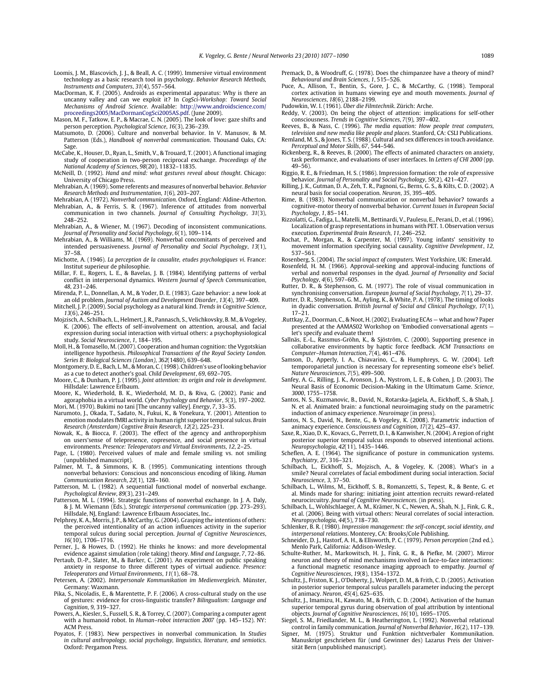- Loomis, J. M., Blascovich, J. J., & Beall, A. C. (1999). Immersive virtual environment technology as a basic research tool in psychology. *Behavior Research Methods, Instruments and Computers*, *31*(4), 557–564.
- MacDorman, K. F. (2005). Androids as experimental apparatus: Why is there an uncanny valley and can we exploit it? In *CogSci-Workshop: Toward Social Mechanisms of Android Science*. Available: http://www.androidscience.com/ proceedings2005/MacDormanCogSci2005AS.pdf. (June 2009).
- Mason, M. F., Tatkow, E. P., & Macrae, C. N. (2005). The look of love: gaze shifts and person perception. *Psychological Science*, *16*(3), 236–239.
- Matsumoto, D. (2006). Culture and nonverbal behavior. In V. Manusov, & M. Patterson (Eds.), *Handbook of nonverbal communication*. Thousand Oaks, CA: Sage.
- McCabe, K., Houser, D., Ryan, L., Smith, V., & Trouard, T. (2001). A functional imaging study of cooperation in two-person reciprocal exchange. *Proceedings of the National Academy of Sciences*, *98*(20), 11832–11835.
- McNeill, D. (1992). *Hand and mind: what gestures reveal about thought*. Chicago: University of Chicago Press. Mehrabian, A. (1969). Some referents and measures of nonverbal behavior. *Behavior*
- *Research Methods and Instrumentation*, *1*(6), 203–207.
- Mehrabian, A. (1972). *Nonverbal communication*. Oxford, England: Aldine-Atherton. Mehrabian, A., & Ferris, S. R. (1967). Inference of attitudes from nonverbal communication in two channels. *Journal of Consulting Psychology*, *31*(3), 248–252.
- Mehrabian, A., & Wiener, M. (1967). Decoding of inconsistent communications. *Journal of Personality and Social Psychology*, *6*(1), 109–114.
- Mehrabian, A., & Williams, M. (1969). Nonverbal concomitants of perceived and intended persuasiveness. *Journal of Personality and Social Psychology*, *13*(1), 37–58.
- Michotte, A. (1946). *La perception de la causalite, etudes psychologiques vi*. France:
- Institut superieur de philosophie. Millar, F. E., Rogers, L. E., & Bavelas, J. B. (1984). Identifying patterns of verbal conflict in interpersonal dynamics. *Western Journal of Speech Communication*, *48*, 231–246.
- Mirenda, P. L., Donnellan, A. M., & Yoder, D. E. (1983). Gaze behavior: a new look at an old problem. *Journal of Autism and Development Disorder*, *13*(4), 397–409.
- Mitchell, J. P. (2009). Social psychology as a natural kind. *Trends in Cognitive Science*, *13*(6), 246–251.
- Mojzisch, A., Schilbach, L., Helmert, J. R., Pannasch, S., Velichkovsky, B. M., & Vogeley, K. (2006). The effects of self-involvement on attention, arousal, and facial expression during social interaction with virtual others: a psychophysiological study. *Social Neuroscience*, *1*, 184–195.
- Moll, H., & Tomasello, M. (2007). Cooperation and human cognition: the Vygotskian intelligence hypothesis. *Philosophical Transactions of the Royal Society London. Series B: Biological Sciences (London)*, *362*(1480), 639–648.
- Montgomery, D. E., Bach, L. M., & Moran, C. (1998). Children's use of looking behavior as a cue to detect another's goal. *Child Development*, *69*, 692–705.
- Moore, C., & Dunham, P. J. (1995). *Joint attention: its origin and role in development*. Hillsdale: Lawrence Erlbaum.
- Moore, K., Wiederhold, B. K., Wiederhold, M. D., & Riva, G. (2002). Panic and agoraphobia in a virtual world. *Cyber Psychology and Behavior*, *5*(3), 197–2002.
- Mori, M. (1970). Bukimi no tani [The uncanny valley]. *Energy*, *7*, 33–35. Narumoto, J., Okada, T., Sadato, N., Fukui, K., & Yonekura, Y. (2001). Attention to emotion modulates fMRI activity in human right superior temporal sulcus. *Brain*
- *Research (Amsterdam) Cogntive Brain Research*, *12*(2), 225–231. Nowak, K., & Biocca, F. (2003). The effect of the agency and anthroporphism on users'sense of telepresence, copresence, and social presence in virtual environments. *Presence: Teleoperators and Virtual Environments*, *12*, 2–25.
- Page, L. (1980). Perceived values of male and female smiling vs. not smiling (unpublished manuscript).
- Palmer, M. T., & Simmons, K. B. (1995). Communicating intentions through nonverbal behaviors: Conscious and nonconscious encoding of liking. *Human Communication Research*, *22*(1), 128–160.
- Patterson, M. L. (1982). A sequential functional model of nonverbal exchange. *Psychological Review*, *89*(3), 231–249.
- Patterson, M. L. (1994). Strategic functions of nonverbal exchange. In J. A. Daly, & J. M. Wiemann (Eds.), *Strategic interpersonal communication* (pp. 273–293). Hillsdale, NJ, England: Lawrence Erlbaum Associates, Inc..
- Pelphrey, K. A., Morris, J. P., & McCarthy, G. (2004). Grasping the intentions of others: the perceived intentionality of an action influences activity in the superior temporal sulcus during social perception. *Journal of Cognitive Neurosciences*, *16*(10), 1706–1716.
- Perner, J., & Howes, D. (1992). He thinks he knows: and more developmental evidence against simulation (role taking) theory. *Mind and Language*, *7*, 72–86.
- Pertaub, D.-P., Slater, M., & Barker, C. (2001). An experiment on public speaking anxiety in response to three different types of virtual audience. *Presence: Teleoperators and Virtual Environments*, *11*(1), 68–78.
- Petersen, A. (2002). *Interpersonale Kommunikation im Medienvergleich*. Münster, Germany: Waxmann.
- Pika, S., Nicoladis, E., & Marentette, P. F. (2006). A cross-cultural study on the use of gestures: evidence for cross-linguistic transfer? *Bilingualism: Language and Cognition*, *9*, 319–327.
- Powers, A., Kiesler, S., Fussell, S. R., & Torrey, C. (2007). Comparing a computer agent with a humanoid robot. In *Human–robot interaction 2007* (pp. 145–152). NY: **ACM Press**
- Poyatos, F. (1983). New perspectives in nonverbal communication. In *Studies in cultural anthropology, social psychology, linguistics, literature, and semiotics*. Oxford: Pergamon Press.
- Premack, D., & Woodruff, G. (1978). Does the chimpanzee have a theory of mind? *Behavioural and Brain Sciences*, *1*, 515–526.
- Puce, A., Allison, T., Bentin, S., Gore, J. C., & McCarthy, G. (1998). Temporal cortex activation in humans viewing eye and mouth movements. *Journal of Neurosciences*, *18*(6), 2188–2199.
- Pudowkin, W. I. (1961). *Über die Filmtechnik*. Zürich: Arche.
- Reddy, V. (2003). On being the object of attention: implications for self-other consciousness. *Trends in Cognitive Sciences*, *7*(9), 397–402.
- Reeves, B., & Nass, C. (1996). *The media equation: How people treat computers, television and new media like people and places*. Stanford, CA: CSLI Publications. Remland, M. S., & Jones, T. S. (1988). Cultural and sex differences in touch avoidance.
- *Perceptual and Motor Skills*, *67*, 544–546. Rickenberg, R., & Reeves, B. (2000). The effects of animated characters on anxiety,
- task performance, and evaluations of user interfaces. In *Letters of CHI 2000* (pp. 49–56).
- Riggio, R. E., & Friedman, H. S. (1986). Impression formation: the role of expressive behavior. *Journal of Personality and Social Psychology*, *50*(2), 421–427. Rilling, J. K., Gutman, D. A., Zeh, T. R., Pagnoni, G., Berns, G. S., & Kilts, C. D. (2002). A
- neural basis for social cooperation. *Neuron*, *35*, 395–405. Rime, B. (1983). Nonverbal communication or nonverbal behavior? towards a
- cognitive-motor theory of nonverbal behavior. *Current Issues in European Social Psychology*, *1*, 85–141.
- Rizzolatti, G., Fadiga, L., Matelli, M., Bettinardi, V., Paulesu, E., Perani, D., et al. (1996). Localization of grasp representations in humans with PET. 1. Observation versus execution. *Experimental Brain Research*, *11*, 246–252.
- Rochat, P., Morgan, R., & Carpenter, M. (1997). Young infants' sensitivity to movement information specifying social causality. *Cognitive Development*, *12*, 537–561.
- Rosenberg, S. (2004). *The social impact of computers*. West Yorkshire, UK: Emerald.
- Rosenfeld, H. M. (1966). Approval-seeking and approval-inducing functions of verbal and nonverbal responses in the dyad. *Journal of Personality and Social Psychology*, *4*(6), 597–605.
- Rutter, D. R., & Stephenson, G. M. (1977). The role of visual communication in synchronising conversation. *European Journal of Social Psychology*, *7*(1), 29–37.
- Rutter, D. R., Stephenson, G. M., Ayling, K., & White, P. A. (1978). The timing of looks in dyadic conversation. *British Journal of Social and Clinical Psychology*, *17*(1), 17–21.
- .Ruttkay, Z., Doorman, C., & Noot, H. (2002). Evaluating ECAs what and how? Paper presented at the AAMAS02 Workshop on 'Embodied conversational agents let's specify and evaluate them!
- Sallnäs, E.-L., Rassmus-Gröhn, K., & Sjöström, C. (2000). Supporting presence in collaborative environments by haptic force feedback. *ACM Transactions on Computer–Human Interaction*, *7*(4), 461–476.
- Samson, D., Apperly, I. A., Chiavarino, C., & Humphreys, G. W. (2004). Left temporoparietal junction is necessary for representing someone else's belief. *Nature Neurosciences*, *7*(5), 499–500.
- Sanfey, A. G., Rilling, J. K., Aronson, J. A., Nystrom, L. E., & Cohen, J. D. (2003). The Neural Basis of Economic Decision-Making in the Ultimatum Game. *Science*, *3000*, 1755–1758.
- Santos, N. S., Kuzmanovic, B., David, N., Rotarska-Jagiela, A., Eickhoff, S., & Shah, J. N. et al. Animated brain: a functional neuroimaging study on the parametric induction of animacy experience. *Neuroimage* (in press).
- Santos, N. S., David, N., Bente, G., & Vogeley, K. (2008). Parametric induction of animacy experience. *Consciousness and Cognition*, *17*(2), 425–437.
- Saxe, R., Xiao, D. K., Kovacs, G., Perrett, D. I., & Kanwisher, N. (2004). A region of right posterior superior temporal sulcus responds to observed intentional actions. *Neuropsychologia*, *42*(11), 1435–1446.
- Scheflen, A. E. (1964). The significance of posture in communication systems. *Psychiatry*, *27*, 316–321.
- Schilbach, L., Eickhoff, S., Mojzisch, A., & Vogeley, K. (2008). What's in a smile? Neural correlates of facial embodiment during social interaction. *Social Neuroscience*, *3*, 37–50.
- Schilbach, L., Wilms, M., Eickhoff, S. B., Romanzetti, S., Tepest, R., & Bente, G. et al. Minds made for sharing: initiating joint attention recruits reward-related neurocircuitry. *Journal of Cognitive Neurosciences.* (in press).
- Schilbach, L., Wohlschlaeger, A. M., Krämer, N. C., Newen, A., Shah, N. J., Fink, G. R., et al. (2006). Being with virtual others: Neural correlates of social interaction. *Neuropsychologia*, *44*(5), 718–730.
- Schlenker, B. R. (1980). *Impression management: the self-concept, social identity, and interpersonal relations*. Monterey, CA: Brooks/Cole Publishing.
- Schneider, D. J., Hastorf, A. H., & Ellsworth, P. C. (1979). *Person perception* (2nd ed.). Menlo Park, California: Addison-Wesley.
- Schulte-Ruther, M., Markowitsch, H. J., Fink, G. R., & Piefke, M. (2007). Mirror neuron and theory of mind mechanisms involved in face-to-face interactions: a functional magnetic resonance imaging approach to empathy. *Journal of Cognitive Neurosciences*, *19*(8), 1354–1372.
- Schultz, J., Friston, K. J., O'Doherty, J., Wolpert, D. M., & Frith, C. D. (2005). Activation in posterior superior temporal sulcus parallels parameter inducing the percept of animacy. *Neuron*, *45*(4), 625–635.
- Schultz, J., Imamizu, H., Kawato, M., & Frith, C. D. (2004). Activation of the human superior temporal gyrus during observation of goal attribution by intentional objects. *Journal of Cognitive Neurosciences*, *16*(10), 1695–1705.
- Siegel, S. M., Friedlander, M. L., & Heatherington, L. (1992). Nonverbal relational control in family communication. *Journal of Nonverbal Behavior*, *16*(2), 117–139.
- Signer, M. (1975). Struktur und Funktion nichtverbaler Kommunikation. Manuskript geschrieben für (und Gewinner des) Lazarus Preis der Universität Bern (unpublished manuscript).